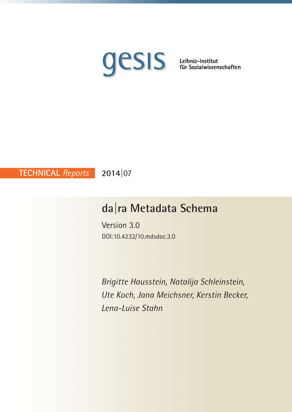

**2014|**07 **TECHNICAL** *Reports*

# **da|ra Metadata Schema**

Version 3.0 DOI:10.4232/10.mdsdoc.3.0

*Brigitte Hausstein, Natalija Schleinstein, Ute Koch, Jana Meichsner, Kerstin Becker, Lena-Luise Stahn*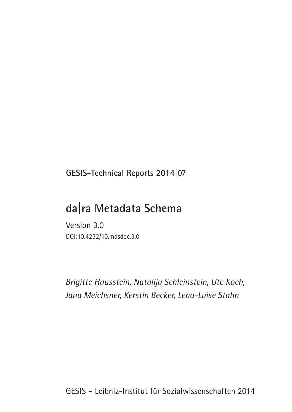**GESIS-Technical Reports 2014|**07

# **da|ra Metadata Schema**

Version 3.0 DOI:10.4232/10.mdsdoc.3.0

*Brigitte Hausstein, Natalija Schleinstein, Ute Koch, Jana Meichsner, Kerstin Becker, Lena-Luise Stahn*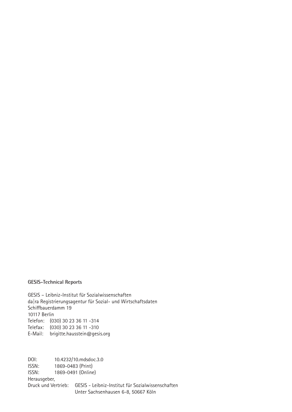#### **GESIS-Technical Reports**

GESIS – Leibniz-Institut für Sozialwissenschaften da|ra Registrierungsagentur für Sozial- und Wirtschaftsdaten Schiffbauerdamm 19 10117 Berlin Telefon: (030) 30 23 36 11 -314 Telefax: (030) 30 23 36 11 -310 E-Mail: brigitte.hausstein@gesis.org

DOI: 10.4232/10.mdsdoc.3.0 ISSN: 1869-0483 (Print) ISSN: 1869-0491 (Online) Herausgeber,

Druck und Vertrieb: GESIS - Leibniz-Institut für Sozialwissenschaften Unter Sachsenhausen 6-8, 50667 Köln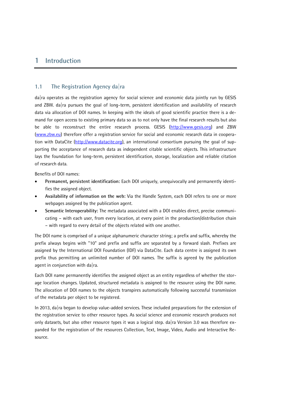# **1 Introduction**

#### **1.1 The Registration Agency da|ra**

da|ra operates as the registration agency for social science and economic data jointly run by GESIS and ZBW. da|ra pursues the goal of long-term, persistent identification and availability of research data via allocation of DOI names. In keeping with the ideals of good scientific practice there is a demand for open access to existing primary data so as to not only have the final research results but also be able to reconstruct the entire research process. GESIS [\(http://www.gesis.org\)](http://www.gesis.org/) and ZBW [\(www.zbw.eu\)](http://www.zbw.eu/) therefore offer a registration service for social and economic research data in coopera-tion with DataCite [\(http://www.datacite.org\)](http://www.datacite.org/), an international consortium pursuing the goal of supporting the acceptance of research data as independent citable scientific objects. This infrastructure lays the foundation for long-term, persistent identification, storage, localization and reliable citation of research data.

Benefits of DOI names:

- **Permanent, persistent identification:** Each DOI uniquely, unequivocally and permanently identifies the assigned object.
- **Availability of information on the web:** Via the Handle System, each DOI refers to one or more webpages assigned by the publication agent.
- **Semantic Interoperability:** The metadata associated with a DOI enables direct, precise communicating – with each user, from every location, at every point in the production/distribution chain – with regard to every detail of the objects related with one another.

The DOI name is comprised of a unique alphanumeric character string; a prefix and suffix, whereby the prefix always begins with "10" and prefix and suffix are separated by a forward slash. Prefixes are assigned by the International DOI Foundation (IDF) via DataCite. Each data centre is assigned its own prefix thus permitting an unlimited number of DOI names. The suffix is agreed by the publication agent in conjunction with da  $ra$ .

Each DOI name permanently identifies the assigned object as an entity regardless of whether the storage location changes. Updated, structured metadata is assigned to the resource using the DOI name. The allocation of DOI names to the objects transpires automatically following successful transmission of the metadata per object to be registered.

In 2013, da|ra began to develop value-added services. These included preparations for the extension of the registration service to other resource types. As social science and economic research produces not only datasets, but also other resource types it was a logical step. da|ra Version 3.0 was therefore expanded for the registration of the resources Collection, Text, Image, Video, Audio and Interactive Resource.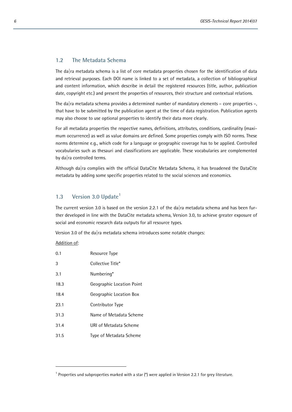#### **1.2 The Metadata Schema**

The da  $\vert$ ra metadata schema is a list of core metadata properties chosen for the identification of data and retrieval purposes. Each DOI name is linked to a set of metadata, a collection of bibliographical and content information, which describe in detail the registered resources (title, author, publication date, copyright etc.) and present the properties of resources, their structure and contextual relations.

The da|ra metadata schema provides a determined number of mandatory elements – core properties –, that have to be submitted by the publication agent at the time of data registration. Publication agents may also choose to use optional properties to identify their data more clearly.

For all metadata properties the respective names, definitions, attributes, conditions, cardinality (maximum occurrence) as well as value domains are defined. Some properties comply with ISO norms. These norms determine e.g., which code for a language or geographic coverage has to be applied. Controlled vocabularies such as thesauri and classifications are applicable. These vocabularies are complemented by da|ra controlled terms.

Although da|ra complies with the official DataCite Metadata Schema, it has broadened the DataCite metadata by adding some specific properties related to the social sciences and economics.

### **1.3 Version 3.0 Update[1](#page-5-0)**

The current version 3.0 is based on the version 2.2.1 of the da|ra metadata schema and has been further developed in line with the DataCite metadata schema, Version 3.0, to achieve greater exposure of social and economic research data outputs for all resource types.

Version 3.0 of the da|ra metadata schema introduces some notable changes:

#### Addition of:

L

| 0.1  | Resource Type             |
|------|---------------------------|
| 3    | Collective Title*         |
| 3.1  | Numbering*                |
| 18.3 | Geographic Location Point |
| 18.4 | Geographic Location Box   |
| 23.1 | Contributor Type          |
| 31.3 | Name of Metadata Scheme   |
| 31.4 | URI of Metadata Scheme    |
| 31.5 | Type of Metadata Scheme   |

<span id="page-5-0"></span> $1$  Properties und subproperties marked with a star (\*) were applied in Version 2.2.1 for grey literature.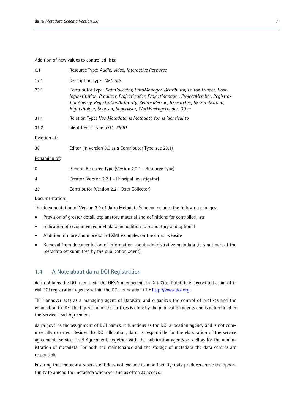#### Addition of new values to controlled lists:

| 0.1            | Resource Type: Audio, Video, Interactive Resource                                                                                                                                                                                                                                                                    |
|----------------|----------------------------------------------------------------------------------------------------------------------------------------------------------------------------------------------------------------------------------------------------------------------------------------------------------------------|
| 17.1           | Description Type: Methods                                                                                                                                                                                                                                                                                            |
| 23.1           | Contributor Type: DataCollector, DataManager, Distributor, Editor, Funder, Host-<br>ingInstitution, Producer, ProjectLeader, ProjectManager, ProjectMember, Registra-<br>tionAgency, RegistrationAuthority, RelatedPerson, Researcher, ResearchGroup,<br>RightsHolder, Sponsor, Supervisor, WorkPackageLeader, Other |
| 31.1           | Relation Type: Has Metadata, Is Metadata for, Is identical to                                                                                                                                                                                                                                                        |
| 31.2           | Identifier of Type: ISTC, PMID                                                                                                                                                                                                                                                                                       |
| Deletion of:   |                                                                                                                                                                                                                                                                                                                      |
| 38             | Editor (in Version 3.0 as a Contributor Type, see 23.1)                                                                                                                                                                                                                                                              |
| Renaming of:   |                                                                                                                                                                                                                                                                                                                      |
| 0              | General Resource Type (Version 2.2.1 - Resource Type)                                                                                                                                                                                                                                                                |
| 4              | Creator (Version 2.2.1 - Principal Investigator)                                                                                                                                                                                                                                                                     |
| 23             | Contributor (Version 2.2.1 Data Collector)                                                                                                                                                                                                                                                                           |
| Documentation: |                                                                                                                                                                                                                                                                                                                      |

The documentation of Version 3.0 of da ra Metadata Schema includes the following changes:

- Provision of greater detail, explanatory material and definitions for controlled lists
- Indication of recommended metadata, in addition to mandatory and optional
- Addition of more and more varied XML examples on the da|ra website
- Removal from documentation of information about administrative metadata (it is not part of the metadata set submitted by the publication agent).

#### **1.4 A Note about da|ra DOI Registration**

da|ra obtains the DOI names via the GESIS membership in DataCite. DataCite is accredited as an official DOI registration agency within the DOI foundation (IDF [http://www.doi.org\)](http://www.doi.org/).

TIB Hannover acts as a managing agent of DataCite and organizes the control of prefixes and the connection to IDF. The figuration of the suffixes is done by the publication agents and is determined in the Service Level Agreement.

da|ra governs the assignment of DOI names. It functions as the DOI allocation agency and is not commercially oriented. Besides the DOI allocation, da  $|ra|$  is responsible for the elaboration of the service agreement (Service Level Agreement) together with the publication agents as well as for the administration of metadata. For both the maintenance and the storage of metadata the data centres are responsible.

Ensuring that metadata is persistent does not exclude its modifiability: data producers have the opportunity to amend the metadata whenever and as often as needed.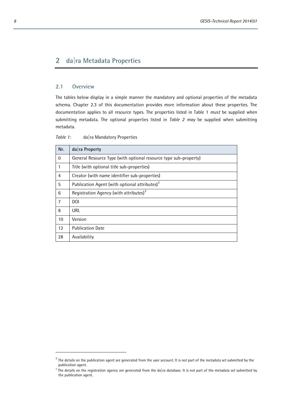# **2 da|ra Metadata Properties**

#### **2.1 Overview**

The tables below display in a simple manner the mandatory and optional properties of the metadata schema. Chapter 2.3 of this documentation provides more information about these properties. The documentation applies to all resource types. The properties listed in Table 1 *must* be supplied when submitting metadata. The optional properties listed in *Table 2 may* be supplied when submitting metadata.

*Table 1:* da|ra Mandatory Properties

| Nr.            | $da$ <sub>ra</sub> Property                                      |
|----------------|------------------------------------------------------------------|
| $\overline{0}$ | General Resource Type (with optional resource type sub-property) |
| 1              | Title (with optional title sub-properties)                       |
| 4              | Creator (with name identifier sub-properties)                    |
| 5              | Publication Agent (with optional attributes) <sup>2</sup>        |
| 6              | Registration Agency (with attributes) <sup>3</sup>               |
| 7              | <b>DOI</b>                                                       |
| 8              | URL                                                              |
| 10             | Version                                                          |
| 12             | <b>Publication Date</b>                                          |
| 28             | Availability                                                     |

<span id="page-7-0"></span> $2$  The details on the publication agent are generated from the user account. It is not part of the metadata set submitted by the publication agent.

<span id="page-7-1"></span><sup>&</sup>lt;sup>3</sup> The details on the registration agency are generated from the da|ra database. It is not part of the metadata set submitted by the publication agent.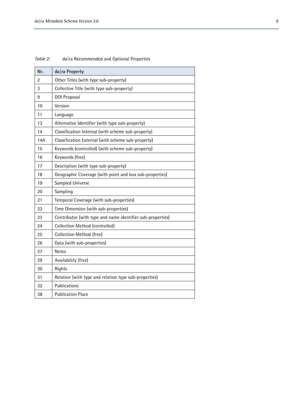| Nr.            | da ra Property                                              |
|----------------|-------------------------------------------------------------|
| $\overline{2}$ | Other Titles (with type sub-property)                       |
| 3              | Collective Title (with type sub-property)                   |
| 9              | DOI Proposal                                                |
| 10             | Version                                                     |
| 11             |                                                             |
| 13             | Language<br>Alternative Identifier (with type sub-property) |
|                |                                                             |
| 14             | Classification Internal (with scheme sub-property)          |
| 14A            | Classification External (with scheme sub-property)          |
| 15             | Keywords (controlled) (with scheme sub-property)            |
| 16             | Keywords (free)                                             |
| 17             | Description (with type sub-property)                        |
| 18             | Geographic Coverage (with point and box sub-properties)     |
| 19             | Sampled Universe                                            |
| 20             | Sampling                                                    |
| 21             | Temporal Coverage (with sub-properties)                     |
| 22             | Time Dimension (with sub-properties)                        |
| 23             | Contributor (with type and name identifier sub-properties)  |
| 24             | Collection Method (controlled)                              |
| 25             | Collection Method (free)                                    |
| 26             | Data (with sub-properties)                                  |
| 27             | <b>Notes</b>                                                |
| 29             | Availability (free)                                         |
| 30             | Rights                                                      |
| 31             | Relation (with type and relation type sub-properties)       |
| 32             | Publications                                                |
| 38             | <b>Publication Place</b>                                    |

*Table 2:* da|ra Recommended and Optional Properties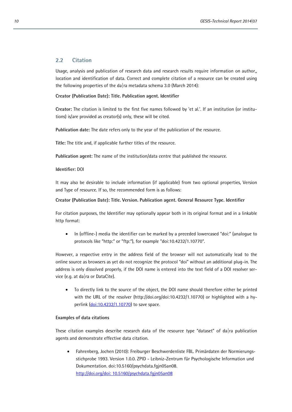#### **2.2 Citation**

Usage, analysis and publication of research data and research results require information on author,, location and identification of data. Correct and complete citation of a resource can be created using the following properties of the da|ra metadata schema 3.0 (March 2014):

#### **Creator (Publication Date): Title. Publication agent. Identifier**

**Creator:** The citation is limited to the first five names followed by 'et al.'. If an institution (or institutions) is/are provided as creator(s) only, these will be cited.

**Publication date:** The date refers only to the year of the publication of the resource.

**Title:** The title and, if applicable further titles of the resource.

**Publication agent:** The name of the institution/data centre that published the resource.

#### **Identifier:** DOI

It may also be desirable to include information (if applicable) from two optional properties, Version and Type of resource. If so, the recommended form is as follows:

#### **Creator (Publication Date): Title. Version. Publication agent. General Resource Type. Identifier**

For citation purposes, the Identifier may optionally appear both in its original format and in a linkable http format:

• In (offline-) media the identifier can be marked by a preceded lowercased "doi:" (analogue to protocols like "http:" or "ftp:"), for example "doi:10.4232/1.10770".

However, a respective entry in the address field of the browser will not automatically lead to the online source as browsers as yet do not recognize the protocol "doi" without an additional plug-in. The address is only dissolved properly, if the DOI name is entered into the text field of a DOI resolver service (e.g. at da|ra or DataCite).

• To directly link to the source of the object, the DOI name should therefore either be printed with the URL of the resolver (http://doi.org/doi:10.4232/1.10770) or highlighted with a hyperlink  $(doi:10.4232/1.10770)$  to save space.

#### **Examples of data citations**

These citation examples describe research data of the resource type "dataset" of da|ra publication agents and demonstrate effective data citation.

• Fahrenberg, Jochen (2010): Freiburger Beschwerdenliste FBL. Primärdaten der Normierungsstichprobe 1993. Version 1.0.0. ZPID - Leibniz-Zentrum für Psychologische Information und Dokumentation. doi:10.5160/psychdata.fgjn05an08. [http://doi.org/doi:](http://dx.doi.org/doi) 10.5160/psychdata.fgjn05an08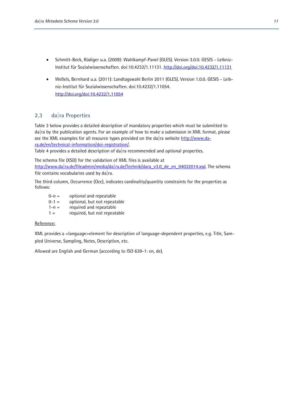- Schmitt-Beck, Rüdiger u.a. (2009): Wahlkampf-Panel (GLES). Version 3.0.0. GESIS Leibniz-Institut für Sozialwissenschaften. doi:10.4232/1.11131. http://doi.org/doi:10.4232/1.11131
- Weßels, Bernhard u.a. (2011): Landtagswahl Berlin 2011 (GLES). Version 1.0.0. GESIS Leibniz-Institut für Sozialwissenschaften. doi:10.4232/1.11054. [http://doi.org/doi:10.4232/1.11054](http://dx.doi.org/doi:10.4232/1.11054)

#### **2.3 da|ra Properties**

Table 3 below provides a detailed description of mandatory properties which must be submitted to da|ra by the publication agents. For an example of how to make a submission in XML format, please see the XML examples for all resource types provided on the da|ra website [http://www.da](http://www.da-ra.de/en/technical-information/doi-registration/)[ra.de/en/technical-information/doi-registration/.](http://www.da-ra.de/en/technical-information/doi-registration/) 

Table 4 provides a detailed description of da  $|a|$  recommended and optional properties.

The schema file (XSD) for the validation of XML files is available at [http://www.da|ra.de/fileadmin/media/da|ra.de/Technik/dara\\_v3.0\\_de\\_en\\_04032014.xsd.](http://www.da|ra.de/fileadmin/media/da|ra.de/Technik/dara_v3.0_de_en_04032014.xsd) The schema file contains vocabularies used by da  $ra$ .

The third column, Occurrence (Occ), indicates cardinality/quantity constraints for the properties as follows:

- $0-n =$  optional and repeatable
- $0-1 =$  optional, but not repeatable
- $1-n =$  required and repeatable
- $1 =$  required, but not repeatable

#### Reference:

XML provides a <language>element for description of language-dependent properties, e.g. Title, Sampled Universe, Sampling, Notes, Description, etc.

Allowed are English and German (according to ISO 639-1: en, de).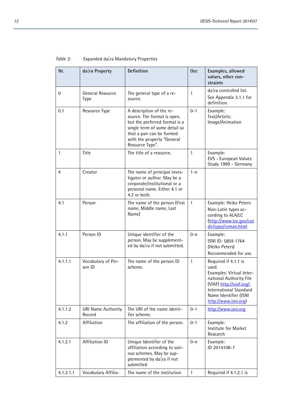| Nr.          | $da$ <sub>ra</sub> Property         | Definition                                                                                                                                                                                              | <b>Occ</b>   | Examples, allowed<br>values, other con-<br>straints                                                                                                                                        |
|--------------|-------------------------------------|---------------------------------------------------------------------------------------------------------------------------------------------------------------------------------------------------------|--------------|--------------------------------------------------------------------------------------------------------------------------------------------------------------------------------------------|
| 0            | General Resource<br>Type            | The general type of a re-<br>source.                                                                                                                                                                    | 1            | da ra controlled list.<br>See Appendix 3.1.1 for<br>definition.                                                                                                                            |
| 0.1          | Resource Type                       | A description of the re-<br>source. The format is open,<br>but the preferred format is a<br>single term of some detail so<br>that a pair can be formed<br>with the property "General<br>Resource Type". | $0 - 1$      | Example:<br>Text/Article;<br>Image/Animation                                                                                                                                               |
| $\mathbf{1}$ | Title                               | The title of a resource.                                                                                                                                                                                | $\mathbf{1}$ | Example:<br>EVS - European Values<br>Study 1999 - Germany                                                                                                                                  |
| 4            | Creator                             | The name of principal inves-<br>tigator or author. May be a<br>corporate/institutional or a<br>personal name. Either 4.1 or<br>4.2 or both.                                                             | $1 - n$      |                                                                                                                                                                                            |
| 4.1          | Person                              | The name of the person (First<br>name, Middle name, Last<br>Name)                                                                                                                                       | $\mathbf{1}$ | Example: Heiko Peters<br>Non-Latin types ac-<br>cording to ALA/LC<br>(http://www.loc.gov/cat<br>dir/cpso/roman.html                                                                        |
| 4.1.1        | Person ID                           | Unique identifier of the<br>person. May be supplement-<br>ed by da $ra$ if not submitted.                                                                                                               | $0 - n$      | Example:<br>ISNI ID: 5859 1764<br>(Heiko Peters)<br>Recommended for use.                                                                                                                   |
| 4.1.1.1      | Vocabulary of Per-<br>son ID        | The name of the person ID<br>scheme.                                                                                                                                                                    | $\mathbf{1}$ | Required if 4.1.1 is<br>used.<br>Examples: Virtual Inter-<br>national Authority File<br>(VIAF) http://viaf.org/<br>International Standard<br>Name Identifier (ISNI<br>http://www.isni.org) |
| 4.1.1.2      | <b>URI Name Authority</b><br>Record | The URI of the name identi-<br>fier scheme.                                                                                                                                                             | $0 - 1$      | http://www.isni.org                                                                                                                                                                        |
| 4.1.2        | Affiliation                         | The affiliation of the person.                                                                                                                                                                          | $0 - 1$      | Example:<br>Institute for Market<br>Research                                                                                                                                               |
| 4.1.2.1      | <b>Affiliation ID</b>               | Unique Identifier of the<br>affiliation according to vari-<br>ous schemes. May be sup-<br>plemented by da $ra$ if not<br>submitted                                                                      | $0 - n$      | Example:<br>ID 2014108-7                                                                                                                                                                   |
| 4.1.2.1.1    | Vocabulary Affilia-                 | The name of the institution                                                                                                                                                                             | $\mathbf{1}$ | Required if 4.1.2.1 is                                                                                                                                                                     |

# *Table 3:* Expanded da|ra Mandatory Properties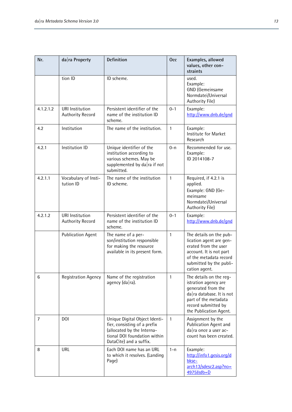| Nr.       | $da$ <sub>ra</sub> Property                       | <b>Definition</b>                                                                                                                                      | <b>Occ</b>   | Examples, allowed<br>values, other con-<br>straints                                                                                                                                      |
|-----------|---------------------------------------------------|--------------------------------------------------------------------------------------------------------------------------------------------------------|--------------|------------------------------------------------------------------------------------------------------------------------------------------------------------------------------------------|
|           | tion ID                                           | ID scheme.                                                                                                                                             |              | used.<br>Example:<br>GND (Gemeinsame<br>Normdatei/Universal<br>Authority File)                                                                                                           |
| 4.1.2.1.2 | <b>URI</b> Institution<br><b>Authority Record</b> | Persistent identifier of the<br>name of the institution ID<br>scheme.                                                                                  | $0 - 1$      | Example:<br>http://www.dnb.de/gnd                                                                                                                                                        |
| 4.2       | Institution                                       | The name of the institution.                                                                                                                           | $\mathbf{1}$ | Example:<br>Institute for Market<br>Research                                                                                                                                             |
| 4.2.1     | Institution ID                                    | Unique identifier of the<br>institution according to<br>various schemes. May be<br>supplemented by da $ra$ if not<br>submitted.                        | $0 - n$      | Recommended for use.<br>Example:<br>ID 2014108-7                                                                                                                                         |
| 4.2.1.1   | Vocabulary of Insti-<br>tution ID                 | The name of the institution<br>ID scheme.                                                                                                              | $\mathbf{1}$ | Required, if 4.2.1 is<br>applied.<br>Example: GND (Ge-<br>meinsame<br>Normdatei/Universal<br>Authority File)                                                                             |
| 4.2.1.2   | <b>URI</b> Institution<br><b>Authority Record</b> | Persistent identifier of the<br>name of the institution ID<br>scheme.                                                                                  | $0 - 1$      | Example:<br>http://www.dnb.de/gnd                                                                                                                                                        |
|           | <b>Publication Agent</b>                          | The name of a per-<br>son/institution responsible<br>for making the resource<br>available in its present form.                                         | $\mathbf{1}$ | The details on the pub-<br>lication agent are gen-<br>erated from the user<br>account. It is not part<br>of the metadata record<br>submitted by the publi-<br>cation agent.              |
| 6         | <b>Registration Agency</b>                        | Name of the registration<br>agency $(da ra)$ .                                                                                                         | 1            | The details on the reg-<br>istration agency are<br>generated from the<br>$da$ <sub>ra</sub> database. It is not<br>part of the metadata<br>record submitted by<br>the Publication Agent. |
| 7         | <b>DOI</b>                                        | Unique Digital Object Identi-<br>fier, consisting of a prefix<br>(allocated by the Interna-<br>tional DOI foundation within<br>DataCite) and a suffix. | $\mathbf{1}$ | Assignment by the<br>Publication Agent and<br>$da$ <sub>ra</sub> once a user ac-<br>count has been created.                                                                              |
| 8         | URL                                               | Each DOI name has an URL<br>to which it resolves. (Landing<br>Page)                                                                                    | $1 - n$      | Example:<br>http://info1.gesis.org/d<br>bkse-<br>arch13/sdesc2.asp?no=<br>4975&db=D                                                                                                      |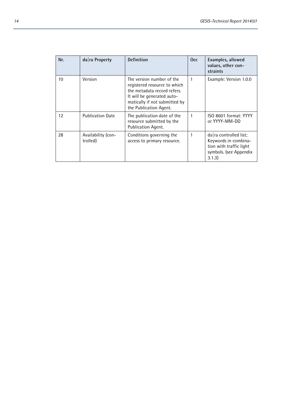| Nr. | $da$ <sub>ra</sub> Property    | <b>Definition</b>                                                                                                                                                                 | Occ. | Examples, allowed<br>values, other con-<br>straints                                                                        |
|-----|--------------------------------|-----------------------------------------------------------------------------------------------------------------------------------------------------------------------------------|------|----------------------------------------------------------------------------------------------------------------------------|
| 10  | Version                        | The version number of the<br>registered resource to which<br>the metadata record refers.<br>It will be generated auto-<br>matically if not submitted by<br>the Publication Agent. | 1    | Example: Version 1.0.0                                                                                                     |
| 12  | <b>Publication Date</b>        | The publication date of the<br>resource submitted by the<br>Publication Agent.                                                                                                    | 1    | ISO 8601 format: YYYY<br>or YYYY-MM-DD                                                                                     |
| 28  | Availability (con-<br>trolled) | Conditions governing the<br>access to primary resource.                                                                                                                           | 1    | $da$ <sub>ra</sub> controlled list;<br>Keywords in combina-<br>tion with traffic light<br>symbols. (see Appendix<br>3.1.3) |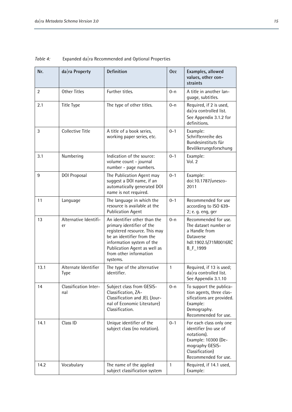| Nr.  | $da$ <sub>ra</sub> Property         | <b>Definition</b>                                                                                                                                                                                                          | <b>Occ</b>   | Examples, allowed<br>values, other con-<br>straints                                                                                                  |
|------|-------------------------------------|----------------------------------------------------------------------------------------------------------------------------------------------------------------------------------------------------------------------------|--------------|------------------------------------------------------------------------------------------------------------------------------------------------------|
| 2    | <b>Other Titles</b>                 | Further titles.                                                                                                                                                                                                            | $0 - n$      | A title in another lan-<br>quage, subtitles.                                                                                                         |
| 2.1  | Title Type                          | The type of other titles.                                                                                                                                                                                                  | $0 - n$      | Required, if 2 is used,<br>$da$ <sub>ra</sub> controlled list.<br>See Appendix 3.1.2 for<br>definitions.                                             |
| 3    | <b>Collective Title</b>             | A title of a book series,<br>working paper series, etc.                                                                                                                                                                    | $0 - 1$      | Example:<br>Schriftenreihe des<br>Bundesinstituts für<br>Bevölkerungsforschung                                                                       |
| 3.1  | Numbering                           | Indication of the source:<br>volume count - journal<br>number - page numbers.                                                                                                                                              | $0 - 1$      | Example:<br>Vol. 2                                                                                                                                   |
| 9    | <b>DOI Proposal</b>                 | The Publication Agent may<br>suggest a DOI name, if an<br>automatically generated DOI<br>name is not required.                                                                                                             | $0 - 1$      | Example:<br>doi:10.1787/unesco-<br>2011                                                                                                              |
| 11   | Language                            | The language in which the<br>resource is available at the<br><b>Publication Agent</b>                                                                                                                                      | $0 - 1$      | Recommended for use<br>according to ISO 639-<br>2; e. g. eng, ger                                                                                    |
| 13   | Alternative Identifi-<br>er         | An identifier other than the<br>primary identifier of the<br>registered resource. This may<br>be an identifier from the<br>information system of the<br>Publication Agent as well as<br>from other information<br>systems. | $0 - n$      | Recommended for use.<br>The dataset number or<br>a Handle from<br>Dataverse<br>hdl:1902.5/71M0016XC<br>B_F_1999                                      |
| 13.1 | Alternate Identifier<br><b>Type</b> | The type of the alternative<br>identifier.                                                                                                                                                                                 | $\mathbf{1}$ | Required, if 13 is used;<br>da ra controlled list.<br>See Appendix 3.1.10                                                                            |
| 14   | Classification Inter-<br>nal        | Subject class from GESIS-<br>Classification, ZA-<br>Classification and JEL (Jour-<br>nal of Economic Literature)<br>Classification.                                                                                        | $0 - n$      | To support the publica-<br>tion agents, three clas-<br>sifications are provided.<br>Example:<br>Demography.<br>Recommended for use.                  |
| 14.1 | Class ID                            | Unique identifier of the<br>subject class (no notation).                                                                                                                                                                   | $0 - 1$      | For each class only one<br>identifier (no use of<br>notations).<br>Example: 10300 (De-<br>mography GESIS-<br>Classification)<br>Recommended for use. |
| 14.2 | Vocabulary                          | The name of the applied<br>subject classification system                                                                                                                                                                   | $\mathbf{1}$ | Required, if 14.1 used,<br>Example:                                                                                                                  |

*Table 4:* Expanded da|ra Recommended and Optional Properties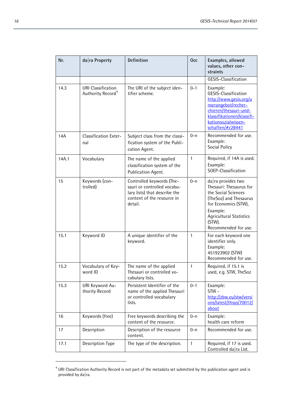| Nr.   | da ra Property                                             | <b>Definition</b>                                                                                                                  | <b>Occ</b>   | Examples, allowed<br>values, other con-<br>straints                                                                                                                                                                 |
|-------|------------------------------------------------------------|------------------------------------------------------------------------------------------------------------------------------------|--------------|---------------------------------------------------------------------------------------------------------------------------------------------------------------------------------------------------------------------|
|       |                                                            |                                                                                                                                    |              | GESIS-Classification                                                                                                                                                                                                |
| 14.3  | <b>URI Classification</b><br>Authority Record <sup>4</sup> | The URI of the subject iden-<br>tifier scheme.                                                                                     | $0 - 1$      | Example:<br>GESIS-Classification<br>http://www.gesis.org/u<br>nserangebot/recher-<br>chieren/thesauri-und-<br>klassifikationen/klassifi-<br>kationsozialwissen-<br>schaften/#c28441                                 |
| 14A   | Classification Exter-<br>nal                               | Subject class from the classi-<br>fication system of the Publi-<br>cation Agent.                                                   | $0 - n$      | Recommended for use.<br>Example:<br>Social Policy                                                                                                                                                                   |
| 14A.1 | Vocabulary                                                 | The name of the applied<br>classification system of the<br>Publication Agent.                                                      | 1            | Required, if 14A is used.<br>Example:<br>SOEP-Classification                                                                                                                                                        |
| 15    | Keywords (con-<br>trolled)                                 | Controlled keywords (The-<br>sauri or controlled vocabu-<br>lary lists) that describe the<br>content of the resource in<br>detail. | $0 - n$      | $da$ <sub>ra</sub> provides two<br>Thesauri: Thesaurus for<br>the Social Sciences<br>(TheSoz) and Thesaurus<br>for Economics (STW),<br>Example:<br><b>Agricultural Statistics</b><br>(STW).<br>Recommended for use. |
| 15.1  | Keyword ID                                                 | A unique identifier of the<br>keyword.                                                                                             | 1            | For each keyword one<br>identifier only.<br>Example:<br>451923902 (STW)<br>Recommended for use.                                                                                                                     |
| 15.2  | Vocabulary of Key-<br>word ID                              | The name of the applied<br>Thesauri or controlled vo-<br>cabulary lists.                                                           | $\mathbf{1}$ | Required, if 15.1 is<br>used, e.g. STW, TheSoz                                                                                                                                                                      |
| 15.3  | URI Keyword Au-<br>thority Record                          | Persistent Identifier of the<br>name of the applied Thesauri<br>or controlled vocabulary<br>lists.                                 | $0 - 1$      | Example:<br>STW-<br>http://zbw.eu/stw/versi<br>ons/latest/thsys/70012/<br>about                                                                                                                                     |
| 16    | Keywords (free)                                            | Free keywords describing the<br>content of the resource.                                                                           | $0 - n$      | Example:<br>health care reform                                                                                                                                                                                      |
| 17    | Description                                                | Description of the resource<br>content.                                                                                            | $0 - n$      | Recommended for use.                                                                                                                                                                                                |
| 17.1  | Description Type                                           | The type of the description.                                                                                                       | 1            | Required, if 17 is used.<br>Controlled da ra List.                                                                                                                                                                  |

<span id="page-15-0"></span> $^4$  URI Classification Authority Record is not part of the metadata set submitted by the publication agent and is provided by da|ra.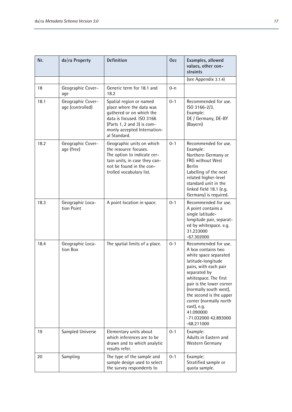| Nr.  | $da$ <sub>ra</sub> Property           | <b>Definition</b>                                                                                                                                                                         | <b>Occ</b> | Examples, allowed<br>values, other con-<br>straints                                                                                                                                                                                                                                                                                        |
|------|---------------------------------------|-------------------------------------------------------------------------------------------------------------------------------------------------------------------------------------------|------------|--------------------------------------------------------------------------------------------------------------------------------------------------------------------------------------------------------------------------------------------------------------------------------------------------------------------------------------------|
|      |                                       |                                                                                                                                                                                           |            | (see Appendix 3.1.4)                                                                                                                                                                                                                                                                                                                       |
| 18   | Geographic Cover-<br>age              | Generic term for 18.1 and<br>18.2                                                                                                                                                         | $0 - n$    |                                                                                                                                                                                                                                                                                                                                            |
| 18.1 | Geographic Cover-<br>age (controlled) | Spatial region or named<br>place where the data was<br>gathered or on which the<br>data is focused. ISO 3166<br>(Parts 1, 2 and 3) is com-<br>monly accepted Internation-<br>al Standard. | $0 - 1$    | Recommended for use.<br>ISO 3166-2/3.<br>Example:<br>DE / Germany, DE-BY<br>(Bayern)                                                                                                                                                                                                                                                       |
| 18.2 | Geographic Cover-<br>age (free)       | Geographic units on which<br>the resource focuses.<br>The option to indicate cer-<br>tain units, in case they can-<br>not be found in the con-<br>trolled vocabulary list.                | $0 - 1$    | Recommended for use.<br>Example:<br>Northern Germany or<br><b>FRG without West</b><br><b>Berlin</b><br>Labelling of the next<br>related higher-level<br>standard unit in the<br>linked field 18.1 (e.g.<br>Germany) is required.                                                                                                           |
| 18.3 | Geographic Loca-<br>tion Point        | A point location in space.                                                                                                                                                                | $0 - 1$    | Recommended for use.<br>A point contains a<br>single latitude-<br>longitude pair, separat-<br>ed by whitespace. e.g.<br>31.233000<br>$-67.302000$                                                                                                                                                                                          |
| 18.4 | Geographic Loca-<br>tion Box          | The spatial limits of a place.                                                                                                                                                            | $0 - 1$    | Recommended for use.<br>A box contains two<br>white space separated<br>latitude-longitude<br>pairs, with each pair<br>separated by<br>whitespace. The first<br>pair is the lower corner<br>(normally south west),<br>the second is the upper<br>corner (normally north<br>east), e.g.<br>41.090000<br>-71.032000 42.893000<br>$-68.211000$ |
| 19   | Sampled Universe                      | Elementary units about<br>which inferences are to be<br>drawn and to which analytic<br>results refer.                                                                                     | $0 - 1$    | Example:<br>Adults in Eastern and<br>Western Germany                                                                                                                                                                                                                                                                                       |
| 20   | Sampling                              | The type of the sample and<br>sample design used to select<br>the survey respondents to                                                                                                   | $0 - 1$    | Example:<br>Stratified sample or<br>quota sample.                                                                                                                                                                                                                                                                                          |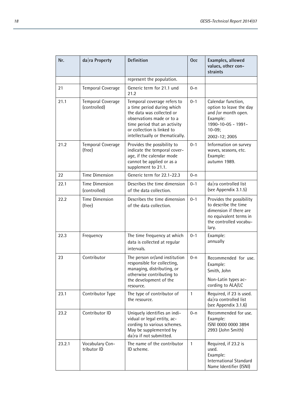| Nr.    | $da$ <sub>ra</sub> Property        | Definition                                                                                                                                                                                                           | <b>Occ</b> | Examples, allowed<br>values, other con-<br>straints                                                                                     |
|--------|------------------------------------|----------------------------------------------------------------------------------------------------------------------------------------------------------------------------------------------------------------------|------------|-----------------------------------------------------------------------------------------------------------------------------------------|
|        |                                    | represent the population.                                                                                                                                                                                            |            |                                                                                                                                         |
| 21     | <b>Temporal Coverage</b>           | Generic term for 21.1 und<br>21.2                                                                                                                                                                                    | $0 - n$    |                                                                                                                                         |
| 21.1   | Temporal Coverage<br>(controlled)  | Temporal coverage refers to<br>a time period during which<br>the data was collected or<br>observations made or to a<br>time period that an activity<br>or collection is linked to<br>intellectually or thematically. | $0 - 1$    | Calendar function,<br>option to leave the day<br>and /or month open.<br>Example:<br>1990-10-05 - 1991-<br>$10-09;$<br>2002-12; 2005     |
| 21.2   | <b>Temporal Coverage</b><br>(free) | Provides the possibility to<br>indicate the temporal cover-<br>age, if the calendar mode<br>cannot be applied or as a<br>supplement to 21.1.                                                                         | $0 - 1$    | Information on survey<br>waves, seasons, etc.<br>Example:<br>autumn 1989.                                                               |
| 22     | <b>Time Dimension</b>              | Generic term for 22.1-22.3                                                                                                                                                                                           | $0 - n$    |                                                                                                                                         |
| 22.1   | Time Dimension<br>(controlled)     | Describes the time dimension<br>of the data collection.                                                                                                                                                              | $0 - 1$    | $da$ <sub>ra</sub> controlled list<br>(see Appendix 3.1.5)                                                                              |
| 22.2   | <b>Time Dimension</b><br>(free)    | Describes the time dimension<br>of the data collection.                                                                                                                                                              | $0 - 1$    | Provides the possibility<br>to describe the time<br>dimension if there are<br>no equivalent terms in<br>the controlled vocabu-<br>lary. |
| 22.3   | Frequency                          | The time frequency at which<br>data is collected at regular<br>intervals.                                                                                                                                            | $0 - 1$    | Example:<br>annually                                                                                                                    |
| 23     | Contributor                        | The person or/and institution<br>responsible for collecting,<br>managing, distributing, or<br>otherwise contributing to                                                                                              | $0 - n$    | Recommended for use.<br>Example:<br>Smith, John                                                                                         |
|        |                                    | the development of the<br>resource.                                                                                                                                                                                  |            | Non-Latin types ac-<br>cording to ALA/LC                                                                                                |
| 23.1   | Contributor Type                   | The type of contributor of<br>the resource.                                                                                                                                                                          | 1          | Required, if 23 is used.<br>$da$ <sub>ra</sub> controlled list<br>(see Appendix 3.1.6)                                                  |
| 23.2   | Contributor ID                     | Uniquely identifies an indi-<br>vidual or legal entity, ac-<br>cording to various schemes.<br>May be supplemented by<br>$da$ <sub>ra</sub> if not submitted.                                                         | $0 - n$    | Recommended for use.<br>Example:<br>ISNI 0000 0000 3894<br>2993 (John Smith)                                                            |
| 23.2.1 | Vocabulary Con-<br>tributor ID     | The name of the contributor<br>ID scheme.                                                                                                                                                                            | 1          | Required, if 23.2 is<br>used.<br>Example:<br>International Standard<br>Name Identifier (ISNI)                                           |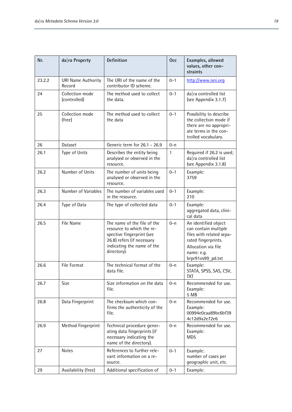| Nr.    | $da ra$ Property                    | Definition                                                                                                                                                       | <b>Occ</b> | Examples, allowed<br>values, other con-<br>straints                                                                                                       |
|--------|-------------------------------------|------------------------------------------------------------------------------------------------------------------------------------------------------------------|------------|-----------------------------------------------------------------------------------------------------------------------------------------------------------|
| 23.2.2 | <b>URI Name Authority</b><br>Record | The URI of the name of the<br>contributor ID scheme.                                                                                                             | $0 - 1$    | http://www.isni.org                                                                                                                                       |
| 24     | Collection mode<br>(controlled)     | The method used to collect<br>the data.                                                                                                                          | $0 - 1$    | da ra controlled list<br>(see Appendix 3.1.7)                                                                                                             |
| 25     | Collection mode<br>(free)           | The method used to collect<br>the data                                                                                                                           | $0 - 1$    | Possibility to describe<br>the collection mode if<br>there are no appropri-<br>ate terms in the con-<br>trolled vocabulary.                               |
| 26     | Dataset                             | Generic term for 26.1 - 26.9                                                                                                                                     | $0 - n$    |                                                                                                                                                           |
| 26.1   | Type of Units                       | Describes the entity being<br>analysed or observed in the<br>resource.                                                                                           | 1          | Required if 26.2 is used;<br>da ra controlled list<br>(see Appendix 3.1.8)                                                                                |
| 26.2   | Number of Units                     | The number of units being<br>analysed or observed in the<br>resource.                                                                                            | $0 - 1$    | Example:<br>3759                                                                                                                                          |
| 26.3   | Number of Variables                 | The number of variables used<br>in the resource.                                                                                                                 | $0 - 1$    | Example:<br>210                                                                                                                                           |
| 26.4   | Type of Data                        | The type of collected data                                                                                                                                       | $0 - 1$    | Example:<br>aggregated data, clini-<br>cal data                                                                                                           |
| 26.5   | File Name                           | The name of the file of the<br>resource to which the re-<br>spective fingerprint (see<br>26.8) refers (if necessary<br>indicating the name of the<br>directory). | $0 - n$    | An identified object<br>can contain multiple<br>files with related sepa-<br>rated fingerprints.<br>Allocation via file<br>name: e.g.<br>brpr91os99_pd.txt |
| 26.6   | File Format                         | The technical format of the<br>data file.                                                                                                                        | $0 - n$    | Example:<br>STATA, SPSS, SAS, CSV,<br>TXT                                                                                                                 |
| 26.7   | Size                                | Size information on the data<br>file.                                                                                                                            | $0 - n$    | Recommended for use.<br>Example:<br>5 MB                                                                                                                  |
| 26.8   | Data Fingerprint                    | The checksum which con-<br>firms the authenticity of the<br>file.                                                                                                | $0 - n$    | Recommended for use.<br>Example:<br>00994e0caa89bc6bf39<br>4c12d9a2e72e6                                                                                  |
| 26.9   | Method Fingerprint                  | Technical procedure gener-<br>ating data fingerprints (if<br>necessary indicating the<br>name of the directory).                                                 | $0 - n$    | Recommended for use.<br>Example:<br>MD <sub>5</sub>                                                                                                       |
| 27     | <b>Notes</b>                        | References to further rele-<br>vant information on a re-<br>source.                                                                                              | $0 - 1$    | Example:<br>number of cases per<br>geographic unit, etc.                                                                                                  |
| 29     | Availability (free)                 | Additional specification of                                                                                                                                      | $0 - 1$    | Example:                                                                                                                                                  |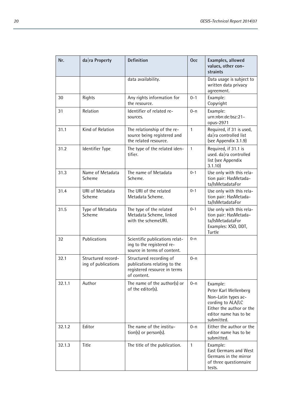| Nr.    | da ra Property                            | Definition                                                                                             | Occ          | Examples, allowed<br>values, other con-<br>straints                                                                                              |
|--------|-------------------------------------------|--------------------------------------------------------------------------------------------------------|--------------|--------------------------------------------------------------------------------------------------------------------------------------------------|
|        |                                           | data availability.                                                                                     |              | Data usage is subject to<br>written data privacy<br>agreement.                                                                                   |
| 30     | Rights                                    | Any rights information for<br>the resource.                                                            | $0 - 1$      | Example:<br>Copyright                                                                                                                            |
| 31     | Relation                                  | Identifier of related re-<br>sources.                                                                  | $0 - n$      | Example:<br>urn:nbn:de:bsz:21-<br>opus-2971                                                                                                      |
| 31.1   | Kind of Relation                          | The relationship of the re-<br>source being registered and<br>the related resource.                    | $\mathbf{1}$ | Required, if 31 is used,<br>$da$ <sub>ra</sub> controlled list<br>(see Appendix 3.1.9)                                                           |
| 31.2   | Identifier Type                           | The type of the related iden-<br>tifier.                                                               | $\mathbf{1}$ | Required, if 31.1 is<br>used. da ra controlled<br>list (see Appendix<br>3.1.10                                                                   |
| 31.3   | Name of Metadata<br>Scheme                | The name of Metadata<br>Scheme.                                                                        | $0 - 1$      | Use only with this rela-<br>tion pair: HasMetada-<br>ta/IsMetadataFor                                                                            |
| 31.4   | <b>URI of Metadata</b><br>Scheme          | The URI of the related<br>Metadata Scheme.                                                             | $0 - 1$      | Use only with this rela-<br>tion pair: HasMetada-<br>ta/IsMetadataFor                                                                            |
| 31.5   | Type of Metadata<br>Scheme                | The type of the related<br>Metadata Scheme, linked<br>with the schemeURI.                              | $0 - 1$      | Use only with this rela-<br>tion pair: HasMetada-<br>ta/IsMetadataFor<br>Examples: XSD, DDT,<br>Turtle                                           |
| 32     | Publications                              | Scientific publications relat-<br>ing to the registered re-<br>source in terms of content.             | $0 - n$      |                                                                                                                                                  |
| 32.1   | Structured record-<br>ing of publications | Structured recording of<br>publications relating to the<br>registered resource in terms<br>of content. | $0 - n$      |                                                                                                                                                  |
| 32.1.1 | Author                                    | The name of the author(s) or<br>of the editor(s).                                                      | $0 - n$      | Example:<br>Peter Karl Wellenberg<br>Non-Latin types ac-<br>cording to ALA/LC<br>Either the author or the<br>editor name has to be<br>submitted. |
| 32.1.2 | Editor                                    | The name of the institu-<br>tion(s) or person(s).                                                      | $0 - n$      | Either the author or the<br>editor name has to be<br>submitted.                                                                                  |
| 32.1.3 | Title                                     | The title of the publication.                                                                          | $\mathbf{1}$ | Example:<br>East Germans and West<br>Germans in the mirror<br>of three questionnaire<br>tests.                                                   |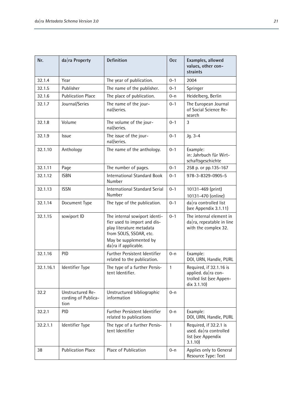| Nr.       | $da$ <sub>ra</sub> Property                     | <b>Definition</b>                                                                                                                                                                   | <b>Occ</b>   | Examples, allowed<br>values, other con-<br>straints                                       |
|-----------|-------------------------------------------------|-------------------------------------------------------------------------------------------------------------------------------------------------------------------------------------|--------------|-------------------------------------------------------------------------------------------|
| 32.1.4    | Year                                            | The year of publication.                                                                                                                                                            | $0 - 1$      | 2004                                                                                      |
| 32.1.5    | Publisher                                       | The name of the publisher.                                                                                                                                                          | $0 - 1$      | Springer                                                                                  |
| 32.1.6    | <b>Publication Place</b>                        | The place of publication.                                                                                                                                                           | $0 - n$      | Heidelberg, Berlin                                                                        |
| 32.1.7    | Journal/Series                                  | The name of the jour-<br>nal/series.                                                                                                                                                | $0 - 1$      | The European Journal<br>of Social Science Re-<br>search                                   |
| 32.1.8    | Volume                                          | The volume of the jour-<br>nal/series.                                                                                                                                              | $0 - 1$      | 3                                                                                         |
| 32.1.9    | Issue                                           | The issue of the jour-<br>nal/series.                                                                                                                                               | $0 - 1$      | $Jq. 3-4$                                                                                 |
| 32.1.10   | Anthology                                       | The name of the anthology.                                                                                                                                                          | $0 - 1$      | Example:<br>in: Jahrbuch für Wirt-<br>schaftsgeschichte                                   |
| 32.1.11   | Page                                            | The number of pages.                                                                                                                                                                | $0 - 1$      | 258 p. or pp.135-167                                                                      |
| 32.1.12   | <b>ISBN</b>                                     | <b>International Standard Book</b><br>Number                                                                                                                                        | $0 - 1$      | 978-3-8329-0905-5                                                                         |
| 32.1.13   | <b>ISSN</b>                                     | <b>International Standard Serial</b><br>Number                                                                                                                                      | $0 - 1$      | 10131-469 (print)<br>10131-470 (online)                                                   |
| 32.1.14   | Document Type                                   | The type of the publication.                                                                                                                                                        | $0 - 1$      | da ra controlled list<br>(see Appendix 3.1.11)                                            |
| 32.1.15   | sowiport ID                                     | The internal sowiport identi-<br>fier used to import and dis-<br>play literature metadata<br>from SOLIS, SSOAR, etc.<br>May be supplemented by<br>$da$ <sub>ra</sub> if applicable. | $0 - 1$      | The internal element in<br>$da ra$ , repeatable in line<br>with the complex 32.           |
| 32.1.16   | PID                                             | Further Persistent Identifier<br>related to the publication.                                                                                                                        | $0 - n$      | Example:<br>DOI, URN, Handle, PURL                                                        |
| 32.1.16.1 | Identifier Type                                 | The type of a further Persis-<br>tent Identifier.                                                                                                                                   | $\mathbf{1}$ | Required, if 32.1.16 is<br>applied. da ra con-<br>trolled list (see Appen-<br>dix 3.1.10) |
| 32.2      | Unstructured Re-<br>cording of Publica-<br>tion | Unstructured bibliographic<br>information                                                                                                                                           | $0 - n$      |                                                                                           |
| 32.2.1    | <b>PID</b>                                      | Further Persistent Identifier<br>related to publications                                                                                                                            | $0 - n$      | Example:<br>DOI, URN, Handle, PURL                                                        |
| 32.2.1.1  | Identifier Type                                 | The type of a further Persis-<br>tent Identifier                                                                                                                                    | $\mathbf{1}$ | Required, if 32.2.1 is<br>used. da ra controlled<br>list (see Appendix<br>3.1.10          |
| 38        | <b>Publication Place</b>                        | Place of Publication                                                                                                                                                                | $0 - n$      | Applies only to General<br>Resource Type: Text                                            |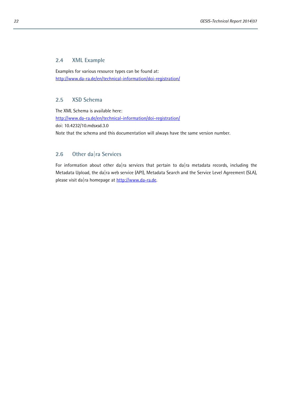#### **2.4 XML Example**

Examples for various resource types can be found at: <http://www.da-ra.de/en/technical-information/doi-registration/>

#### **2.5 XSD Schema**

The XML Schema is available here: <http://www.da-ra.de/en/technical-information/doi-registration/> doi: 10.4232/10.mdsxsd.3.0 Note that the schema and this documentation will always have the same version number.

### **2.6 Other da|ra Services**

For information about other da|ra services that pertain to da|ra metadata records, including the Metadata Upload, the da|ra web service (API), Metadata Search and the Service Level Agreement (SLA), please visit da|ra homepage at [http://www.da-ra.de.](http://www.da-ra.de/)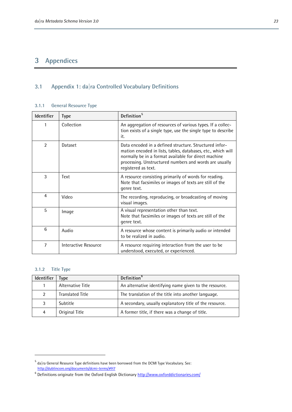# **3 Appendices**

# **3.1 Appendix 1: da|ra Controlled Vocabulary Definitions**

#### **3.1.1 General Resource Type**

| Identifier     | <b>Type</b>          | Definition <sup>5</sup>                                                                                                                                                                                                                                         |
|----------------|----------------------|-----------------------------------------------------------------------------------------------------------------------------------------------------------------------------------------------------------------------------------------------------------------|
|                | Collection           | An aggregation of resources of various types. If a collec-<br>tion exists of a single type, use the single type to describe<br>it.                                                                                                                              |
| $\mathfrak{p}$ | Dataset              | Data encoded in a defined structure. Structured infor-<br>mation encoded in lists, tables, databases, etc., which will<br>normally be in a format available for direct machine<br>processing. Unstructured numbers and words are usually<br>registered as text. |
| 3              | Text                 | A resource consisting primarily of words for reading.<br>Note that facsimiles or images of texts are still of the<br>genre text.                                                                                                                                |
| 4              | Video                | The recording, reproducing, or broadcasting of moving<br>visual images.                                                                                                                                                                                         |
| 5              | Image                | A visual representation other than text.<br>Note that facsimiles or images of texts are still of the<br>genre text.                                                                                                                                             |
| 6              | Audio                | A resource whose content is primarily audio or intended<br>to be realized in audio.                                                                                                                                                                             |
| 7              | Interactive Resource | A resource requiring interaction from the user to be<br>understood, executed, or experienced.                                                                                                                                                                   |

#### **3.1.2 Title Type**

 $\overline{a}$ 

| Identifier | vpe                     | Definition <sup>6</sup>                                 |
|------------|-------------------------|---------------------------------------------------------|
|            | Alternative Title       | An alternative identifying name given to the resource.  |
| 2          | <b>Translated Title</b> | The translation of the title into another language.     |
| 3          | Subtitle                | A secondary, usually explanatory title of the resource. |
| 4          | Original Title          | A former title, if there was a change of title.         |

<span id="page-22-0"></span> $^5$  da|ra General Resource Type definitions have been borrowed from the DCMI Type Vocabulary. See: <http://dublincore.org/documents/dcmi-terms/#H7>

<span id="page-22-1"></span><sup>&</sup>lt;sup>6</sup> Definitions originate from the Oxford English Dictionar[y http://www.oxforddictionaries.com/](http://www.oxforddictionaries.com/)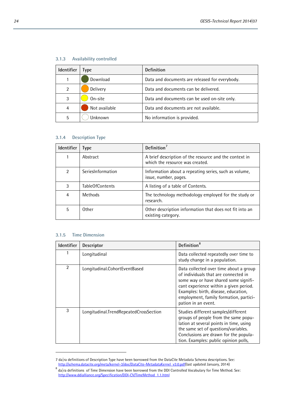| <b>Identifier</b> | vpe           | Definition                                     |
|-------------------|---------------|------------------------------------------------|
|                   | Download      | Data and documents are released for everybody. |
| 2                 | Delivery      | Data and documents can be delivered.           |
| 3                 | On-site       | Data and documents can be used on-site only.   |
| 4                 | Not available | Data and documents are not available.          |
| 5                 | Jnknown       | No information is provided.                    |

#### **3.1.3 Availability controlled**

#### **3.1.4 Description Type**

| <b>Identifier</b> | <b>Type</b>       | Definition <sup>7</sup>                                                                   |
|-------------------|-------------------|-------------------------------------------------------------------------------------------|
|                   | Abstract          | A brief description of the resource and the context in<br>which the resource was created. |
| 2                 | SeriesInformation | Information about a repeating series, such as volume,<br>issue, number, pages.            |
| 3                 | TableOfContents   | A listing of a table of Contents.                                                         |
| 4                 | <b>Methods</b>    | The technology methodology employed for the study or<br>research.                         |
| 5                 | 0ther             | Other description information that does not fit into an<br>existing category.             |

#### **3.1.5 Time Dimension**

| <b>Identifier</b> | Descriptor                             | Definition <sup>8</sup>                                                                                                                                                                                                                                                    |
|-------------------|----------------------------------------|----------------------------------------------------------------------------------------------------------------------------------------------------------------------------------------------------------------------------------------------------------------------------|
|                   | Longitudinal                           | Data collected repeatedly over time to<br>study change in a population.                                                                                                                                                                                                    |
| $\overline{2}$    | Longitudinal.CohortEventBased          | Data collected over time about a group<br>of individuals that are connected in<br>some way or have shared some signifi-<br>cant experience within a given period.<br>Examples: birth, disease, education,<br>employment, family formation, partici-<br>pation in an event. |
| 3                 | Longitudinal.TrendRepeatedCrossSection | Studies different samples/different<br>groups of people from the same popu-<br>lation at several points in time, using<br>the same set of questions/variables.<br>Conclusions are drawn for the popula-<br>tion. Examples: public opinion polls,                           |

<span id="page-23-0"></span><sup>7</sup> da|ra definitions of Description Type have been borrowed from the DataCite Metadata Schema descriptions. See:<br>http://schema.datacite.org/meta/kernel-3/doc/DataCite-MetadataKernel\_v3.0.pdf(last updated January, 2014)

<span id="page-23-1"></span> $^8$  da|ra definitions of Time Dimension have been borrowed from the DDI Controlled Vocabulary for Time Method. See: [http://www.ddialliance.org/Specification/DDI-CV/TimeMethod\\_1.1.html](http://www.ddialliance.org/Specification/DDI-CV/TimeMethod_1.1.html)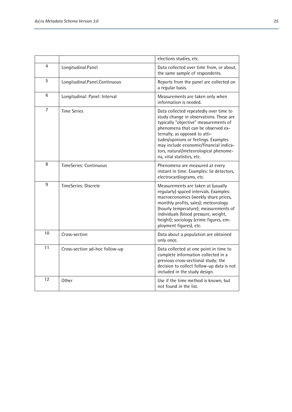|                |                                | elections studies, etc.                                                                                                                                                                                                                                                                                                                                    |
|----------------|--------------------------------|------------------------------------------------------------------------------------------------------------------------------------------------------------------------------------------------------------------------------------------------------------------------------------------------------------------------------------------------------------|
| 4              | Longitudinal.Panel             | Data collected over time from, or about,<br>the same sample of respondents.                                                                                                                                                                                                                                                                                |
| 5              | Longitudinal.Panel.Continuous  | Reports from the panel are collected on<br>a regular basis.                                                                                                                                                                                                                                                                                                |
| 6              | Longitudinal: Panel: Interval  | Measurements are taken only when<br>information is needed.                                                                                                                                                                                                                                                                                                 |
| $\overline{7}$ | <b>Time Series</b>             | Data collected repeatedly over time to<br>study change in observations. These are<br>typically "objective" measurements of<br>phenomena that can be observed ex-<br>ternally, as opposed to atti-<br>tudes/opinions or feelings. Examples<br>may include economic/financial indica-<br>tors, natural/meteorological phenome-<br>na, vital statistics, etc. |
| 8              | TimeSeries: Continuous         | Phenomena are measured at every<br>instant in time. Examples: lie detectors,<br>electrocardiograms, etc.                                                                                                                                                                                                                                                   |
| 9              | TimeSeries: Discrete           | Measurements are taken at (usually<br>regularly) spaced intervals. Examples:<br>macroeconomics (weekly share prices,<br>monthly profits, sales); meteorology<br>(hourly temperature); measurements of<br>individuals (blood pressure, weight,<br>height); sociology (crime figures, em-<br>ployment figures), etc.                                         |
| 10             | Cross-section                  | Data about a population are obtained<br>only once.                                                                                                                                                                                                                                                                                                         |
| 11             | Cross-section ad-hoc follow-up | Data collected at one point in time to<br>complete information collected in a<br>previous cross-sectional study; the<br>decision to collect follow-up data is not<br>included in the study design.                                                                                                                                                         |
| 12             | Other                          | Use if the time method is known, but<br>not found in the list.                                                                                                                                                                                                                                                                                             |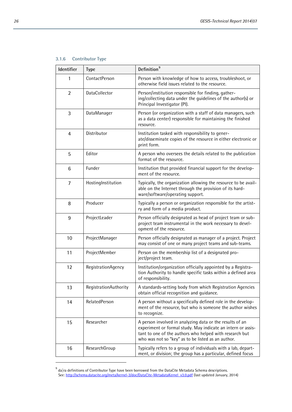#### **3.1.6 Contributor Type**

| Identifier      | <b>Type</b>           | Definition <sup>9</sup>                                                                                                                                                                                                                   |
|-----------------|-----------------------|-------------------------------------------------------------------------------------------------------------------------------------------------------------------------------------------------------------------------------------------|
| 1               | ContactPerson         | Person with knowledge of how to access, troubleshoot, or<br>otherwise field issues related to the resource.                                                                                                                               |
| $\overline{2}$  | DataCollector         | Person/institution responsible for finding, gather-<br>ing/collecting data under the guidelines of the author(s) or<br>Principal Investigator (PI).                                                                                       |
| 3               | DataManager           | Person (or organization with a staff of data managers, such<br>as a data center) responsible for maintaining the finished<br>resource.                                                                                                    |
| 4               | Distributor           | Institution tasked with responsibility to gener-<br>ate/disseminate copies of the resource in either electronic or<br>print form.                                                                                                         |
| 5               | Editor                | A person who oversees the details related to the publication<br>format of the resource.                                                                                                                                                   |
| $6\phantom{1}6$ | Funder                | Institution that provided financial support for the develop-<br>ment of the resource.                                                                                                                                                     |
| $\overline{7}$  | HostingInstitution    | Typically, the organization allowing the resource to be avail-<br>able on the Internet through the provision of its hard-<br>ware/software/operating support.                                                                             |
| 8               | Producer              | Typically a person or organization responsible for the artist-<br>ry and form of a media product.                                                                                                                                         |
| 9               | ProjectLeader         | Person officially designated as head of project team or sub-<br>project team instrumental in the work necessary to devel-<br>opment of the resource.                                                                                      |
| 10              | ProjectManager        | Person officially designated as manager of a project. Project<br>may consist of one or many project teams and sub-teams.                                                                                                                  |
| 11              | ProjectMember         | Person on the membership list of a designated pro-<br>ject/project team.                                                                                                                                                                  |
| 12              | RegistrationAgency    | Institution/organization officially appointed by a Registra-<br>tion Authority to handle specific tasks within a defined area<br>of responsibility.                                                                                       |
| 13              | RegistrationAuthority | A standards-setting body from which Registration Agencies<br>obtain official recognition and quidance.                                                                                                                                    |
| 14              | RelatedPerson         | A person without a specifically defined role in the develop-<br>ment of the resource, but who is someone the author wishes<br>to recognize.                                                                                               |
| 15              | Researcher            | A person involved in analyzing data or the results of an<br>experiment or formal study. May indicate an intern or assis-<br>tant to one of the authors who helped with research but<br>who was not so "key" as to be listed as an author. |
| 16              | ResearchGroup         | Typically refers to a group of individuals with a lab, depart-<br>ment, or division; the group has a particular, defined focus                                                                                                            |

<span id="page-25-0"></span> $^9$  da|ra definitions of Contributor Type have been borrowed from the DataCite Metadata Schema descriptions. See[: http://schema.datacite.org/meta/kernel-3/doc/DataCite-MetadataKernel\\_v3.0.pdf](http://schema.datacite.org/meta/kernel-3/doc/DataCite-MetadataKernel_v3.0.pdf) (last updated January, 2014)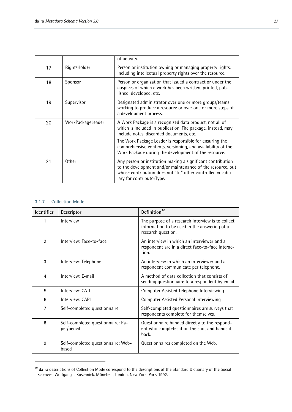|    |                   | of activity.                                                                                                                                                                                                                                                                                                                                         |
|----|-------------------|------------------------------------------------------------------------------------------------------------------------------------------------------------------------------------------------------------------------------------------------------------------------------------------------------------------------------------------------------|
| 17 | RightsHolder      | Person or institution owning or managing property rights,<br>including intellectual property rights over the resource.                                                                                                                                                                                                                               |
| 18 | Sponsor           | Person or organization that issued a contract or under the<br>auspices of which a work has been written, printed, pub-<br>lished, developed, etc.                                                                                                                                                                                                    |
| 19 | Supervisor        | Designated administrator over one or more groups/teams<br>working to produce a resource or over one or more steps of<br>a development process.                                                                                                                                                                                                       |
| 20 | WorkPackageLeader | A Work Package is a recognized data product, not all of<br>which is included in publication. The package, instead, may<br>include notes, discarded documents, etc.<br>The Work Package Leader is responsible for ensuring the<br>comprehensive contents, versioning, and availability of the<br>Work Package during the development of the resource. |
| 21 | Other             | Any person or institution making a significant contribution<br>to the development and/or maintenance of the resource, but<br>whose contribution does not "fit" other controlled vocabu-<br>lary for contributorType.                                                                                                                                 |

#### **3.1.7 Collection Mode**

L

| Identifier     | Descriptor                                      | Definition <sup>10</sup>                                                                                                |
|----------------|-------------------------------------------------|-------------------------------------------------------------------------------------------------------------------------|
| 1              | Interview                                       | The purpose of a research interview is to collect<br>information to be used in the answering of a<br>research question. |
| 2              | Interview: Face-to-face                         | An interview in which an interviewer and a<br>respondent are in a direct face-to-face interac-<br>tion.                 |
| 3              | Interview: Telephone                            | An interview in which an interviewer and a<br>respondent communicate per telephone.                                     |
| $\overline{4}$ | Interview: F-mail                               | A method of data collection that consists of<br>sending questionnaire to a respondent by email.                         |
| 5              | Interview: CATI                                 | Computer Assisted Telephone Interviewing                                                                                |
| 6              | Interview: CAPI                                 | Computer Assisted Personal Interviewing                                                                                 |
| $\overline{7}$ | Self-completed questionnaire                    | Self-completed questionnaires are surveys that<br>respondents complete for themselves.                                  |
| 8              | Self-completed questionnaire: Pa-<br>per/pencil | Questionnaire handed directly to the respond-<br>ent who completes it on the spot and hands it<br>back.                 |
| 9              | Self-completed questionnaire: Web-<br>based     | Questionnaires completed on the Web.                                                                                    |

<span id="page-26-0"></span> $10$  da  $|$ ra descriptions of Collection Mode correspond to the descriptions of the Standard Dictionary of the Social Sciences: Wolfgang J. Koschnick. München, London, New York, Paris 1992.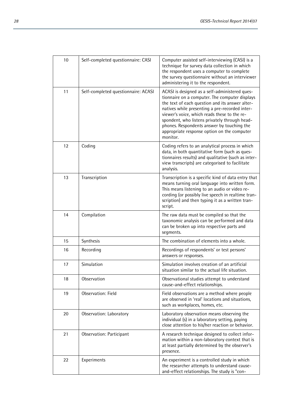| 10 | Self-completed questionnaire: CASI  | Computer assisted self-interviewing (CASI) is a<br>technique for survey data collection in which<br>the respondent uses a computer to complete<br>the survey questionnaire without an interviewer<br>administering it to the respondent.                                                                                                                                                                        |
|----|-------------------------------------|-----------------------------------------------------------------------------------------------------------------------------------------------------------------------------------------------------------------------------------------------------------------------------------------------------------------------------------------------------------------------------------------------------------------|
| 11 | Self-completed questionnaire: ACASI | ACASI is designed as a self-administered ques-<br>tionnaire on a computer. The computer displays<br>the text of each question and its answer alter-<br>natives while presenting a pre-recorded inter-<br>viewer's voice, which reads these to the re-<br>spondent, who listens privately through head-<br>phones. Respondents answer by touching the<br>appropriate response option on the computer<br>monitor. |
| 12 | Coding                              | Coding refers to an analytical process in which<br>data, in both quantitative form (such as ques-<br>tionnaires results) and qualitative (such as inter-<br>view transcripts) are categorised to facilitate<br>analysis.                                                                                                                                                                                        |
| 13 | Transcription                       | Transcription is a specific kind of data entry that<br>means turning oral language into written form.<br>This means listening to an audio or video re-<br>cording (or possibly live speech in realtime tran-<br>scription) and then typing it as a written tran-<br>script.                                                                                                                                     |
| 14 | Compilation                         | The raw data must be compiled so that the<br>taxonomic analysis can be performed and data<br>can be broken up into respective parts and<br>segments.                                                                                                                                                                                                                                                            |
| 15 | Synthesis                           | The combination of elements into a whole.                                                                                                                                                                                                                                                                                                                                                                       |
| 16 | Recording                           | Recordings of respondents' or test persons'<br>answers or responses.                                                                                                                                                                                                                                                                                                                                            |
| 17 | Simulation                          | Simulation involves creation of an artificial<br>situation similar to the actual life situation.                                                                                                                                                                                                                                                                                                                |
| 18 | Observation                         | Observational studies attempt to understand<br>cause-and-effect relationships.                                                                                                                                                                                                                                                                                                                                  |
| 19 | <b>Observation: Field</b>           | Field observations are a method where people<br>are observed in 'real' locations and situations,<br>such as workplaces, homes, etc.                                                                                                                                                                                                                                                                             |
| 20 | Observation: Laboratory             | Laboratory observation means observing the<br>individual (s) in a laboratory setting, paying<br>close attention to his/her reaction or behavior.                                                                                                                                                                                                                                                                |
| 21 | Observation: Participant            | A research technique designed to collect infor-<br>mation within a non-laboratory context that is<br>at least partially determined by the observer's<br>presence.                                                                                                                                                                                                                                               |
| 22 | Experiments                         | An experiment is a controlled study in which<br>the researcher attempts to understand cause-<br>and-effect relationships. The study is "con-                                                                                                                                                                                                                                                                    |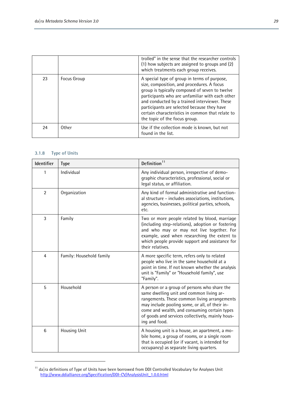|    |             | trolled" in the sense that the researcher controls<br>(1) how subjects are assigned to groups and (2)<br>which treatments each group receives.                                                                                                                                                                                                                                       |
|----|-------------|--------------------------------------------------------------------------------------------------------------------------------------------------------------------------------------------------------------------------------------------------------------------------------------------------------------------------------------------------------------------------------------|
| 23 | Focus Group | A special type of group in terms of purpose,<br>size, composition, and procedures. A focus<br>group is typically composed of seven to twelve<br>participants who are unfamiliar with each other<br>and conducted by a trained interviewer. These<br>participants are selected because they have<br>certain characteristics in common that relate to<br>the topic of the focus group. |
| 24 | Other       | Use if the collection mode is known, but not<br>found in the list.                                                                                                                                                                                                                                                                                                                   |

#### **3.1.8 Type of Units**

L

| Identifier     | <b>Type</b>              | Definition <sup>11</sup>                                                                                                                                                                                                                                                                                        |  |  |
|----------------|--------------------------|-----------------------------------------------------------------------------------------------------------------------------------------------------------------------------------------------------------------------------------------------------------------------------------------------------------------|--|--|
|                | Individual               | Any individual person, irrespective of demo-<br>graphic characteristics, professional, social or<br>legal status, or affiliation.                                                                                                                                                                               |  |  |
| $\overline{2}$ | Organization             | Any kind of formal administrative and function-<br>al structure - includes associations, institutions,<br>agencies, businesses, political parties, schools,<br>etc.                                                                                                                                             |  |  |
| 3              | Family                   | Two or more people related by blood, marriage<br>(including step-relations), adoption or fostering<br>and who may or may not live together. For<br>example, used when researching the extent to<br>which people provide support and assistance for<br>their relatives.                                          |  |  |
| $\overline{4}$ | Family: Household family | A more specific term, refers only to related<br>people who live in the same household at a<br>point in time. If not known whether the analysis<br>unit is "Family" or "Household family", use<br>"Family".                                                                                                      |  |  |
| 5              | Household                | A person or a group of persons who share the<br>same dwelling unit and common living ar-<br>rangements. These common living arrangements<br>may include pooling some, or all, of their in-<br>come and wealth, and consuming certain types<br>of goods and services collectively, mainly hous-<br>ing and food. |  |  |
| 6              | <b>Housing Unit</b>      | A housing unit is a house, an apartment, a mo-<br>bile home, a group of rooms, or a single room<br>that is occupied (or if vacant, is intended for<br>occupancy) as separate living quarters.                                                                                                                   |  |  |

<span id="page-28-0"></span> $11$  da  $\vert$ ra definitions of Type of Units have been borrowed from DDI Controlled Vocabulary for Analyses Unit [http://www.ddialliance.org/Specification/DDI-CV/AnalysisUnit\\_1.0.0.html](http://www.ddialliance.org/Specification/DDI-CV/AnalysisUnit_1.0.0.html)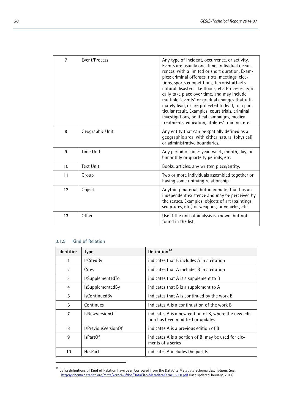| $\overline{7}$  | Event/Process    | Any type of incident, occurrence, or activity.<br>Events are usually one-time, individual occur-<br>rences, with a limited or short duration. Exam-<br>ples: criminal offenses, riots, meetings, elec-<br>tions, sports competitions, terrorist attacks,<br>natural disasters like floods, etc. Processes typi-<br>cally take place over time, and may include<br>multiple "events" or gradual changes that ulti-<br>mately lead, or are projected to lead, to a par-<br>ticular result. Examples: court trials, criminal<br>investigations, political campaigns, medical<br>treatments, education, athletes' training, etc. |
|-----------------|------------------|------------------------------------------------------------------------------------------------------------------------------------------------------------------------------------------------------------------------------------------------------------------------------------------------------------------------------------------------------------------------------------------------------------------------------------------------------------------------------------------------------------------------------------------------------------------------------------------------------------------------------|
| 8               | Geographic Unit  | Any entity that can be spatially defined as a<br>geographic area, with either natural (physical)<br>or administrative boundaries.                                                                                                                                                                                                                                                                                                                                                                                                                                                                                            |
| 9               | <b>Time Unit</b> | Any period of time: year, week, month, day, or<br>bimonthly or quarterly periods, etc.                                                                                                                                                                                                                                                                                                                                                                                                                                                                                                                                       |
| 10 <sup>1</sup> | <b>Text Unit</b> | Books, articles, any written piece/entity.                                                                                                                                                                                                                                                                                                                                                                                                                                                                                                                                                                                   |
| 11              | Group            | Two or more individuals assembled together or<br>having some unifying relationship.                                                                                                                                                                                                                                                                                                                                                                                                                                                                                                                                          |
| 12              | Object           | Anything material, but inanimate, that has an<br>independent existence and may be perceived by<br>the senses. Examples: objects of art (paintings,<br>sculptures, etc.) or weapons, or vehicles, etc.                                                                                                                                                                                                                                                                                                                                                                                                                        |
| 13              | Other            | Use if the unit of analysis is known, but not<br>found in the list.                                                                                                                                                                                                                                                                                                                                                                                                                                                                                                                                                          |

#### **3.1.9 Kind of Relation**

| Identifier     | <b>Type</b>             | Definition <sup>12</sup>                                                                   |
|----------------|-------------------------|--------------------------------------------------------------------------------------------|
| 1              | <b>IsCitedBy</b>        | indicates that B includes A in a citation                                                  |
| 2              | Cites                   | indicates that A includes B in a citation                                                  |
| 3              | IsSupplementedTo        | indicates that A is a supplement to B                                                      |
| 4              | <b>IsSupplementedBy</b> | indicates that B is a supplement to A                                                      |
| 5              | <b>IsContinuedBy</b>    | indicates that A is continued by the work B                                                |
| 6              | Continues               | indicates A is a continuation of the work B                                                |
| $\overline{7}$ | IsNewVersionOf          | indicates A is a new edition of B, where the new edi-<br>tion has been modified or updates |
| 8              | IsPreviousVersionOf     | indicates A is a previous edition of B                                                     |
| 9              | IsPartOf                | indicates A is a portion of B; may be used for ele-<br>ments of a series                   |
| 10             | HasPart                 | indicates A includes the part B                                                            |

<span id="page-29-0"></span> $12$  da|ra definitions of Kind of Relation have been borrowed from the DataCite Metadata Schema descriptions. See: [http://schema.datacite.org/meta/kernel-3/doc/DataCite-MetadataKernel\\_v3.0.pdf](http://schema.datacite.org/meta/kernel-3/doc/DataCite-MetadataKernel_v3.0.pdf) (last updated January, 2014)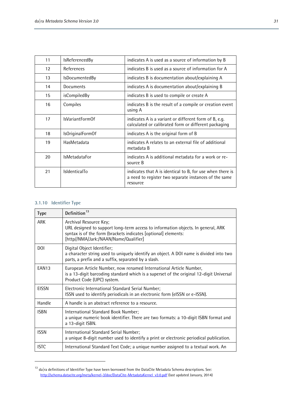| 11 | <b>IsReferencedBy</b>  | indicates A is used as a source of information by B                                                                            |
|----|------------------------|--------------------------------------------------------------------------------------------------------------------------------|
| 12 | References             | indicates B is used as a source of information for A                                                                           |
| 13 | <b>IsDocumentedBy</b>  | indicates B is documentation about/explaining A                                                                                |
| 14 | Documents              | indicates A is documentation about/explaining B                                                                                |
| 15 | isCompiledBy           | indicates B is used to compile or create A                                                                                     |
| 16 | Compiles               | indicates B is the result of a compile or creation event<br>using A                                                            |
| 17 | <b>IsVariantFormOf</b> | indicates A is a variant or different form of B, e.g.<br>calculated or calibrated form or different packaging                  |
| 18 | IsOriginalFormOf       | indicates A is the original form of B                                                                                          |
| 19 | HasMetadata            | indicates A relates to an external file of additional<br>metadata B                                                            |
| 20 | <b>IsMetadataFor</b>   | indicates A is additional metadata for a work or re-<br>source B                                                               |
| 21 | IsldenticalTo          | indicates that A is identical to B, for use when there is<br>a need to register two separate instances of the same<br>resource |

#### **3.1.10 Identifier Type**

L

| <b>Type</b>       | Definition <sup>13</sup>                                                                                                                                                                                              |
|-------------------|-----------------------------------------------------------------------------------------------------------------------------------------------------------------------------------------------------------------------|
| <b>ARK</b>        | Archival Resource Key;<br>URL designed to support long-term access to information objects. In general, ARK<br>syntax is of the form (brackets indicates [optional] elements:<br>[http//NMA/Jark:/NAAN/Name/Qualifier] |
| <b>DOI</b>        | Digital Object Identifier;<br>a character string used to uniquely identify an object. A DOI name is divided into two<br>parts, a prefix and a suffix, separated by a slash.                                           |
| EAN <sub>13</sub> | European Article Number, now renamed International Article Number,<br>is a 13-digit barcoding standard which is a superset of the original 12-digit Universal<br>Product Code (UPC) system.                           |
| EISSN             | Electronic International Standard Serial Number;<br>ISSN used to identify periodicals in an electronic form (eISSN or e-ISSN).                                                                                        |
| Handle            | A handle is an abstract reference to a resource.                                                                                                                                                                      |
| <b>ISBN</b>       | International Standard Book Number;<br>a unique numeric book identifier. There are two formats: a 10-digit ISBN format and<br>a 13-digit ISBN.                                                                        |
| <b>ISSN</b>       | International Standard Serial Number;<br>a unique 8-digit number used to identify a print or electronic periodical publication.                                                                                       |
| <b>ISTC</b>       | International Standard Text Code; a unique number assigned to a textual work. An                                                                                                                                      |

<span id="page-30-0"></span> $13$  da|ra definitions of Identifier Type have been borrowed from the DataCite Metadata Schema descriptions. See: [http://schema.datacite.org/meta/kernel-3/doc/DataCite-MetadataKernel\\_v3.0.pdf](http://schema.datacite.org/meta/kernel-3/doc/DataCite-MetadataKernel_v3.0.pdf) (last updated January, 2014)

 $\overline{\phantom{a}}$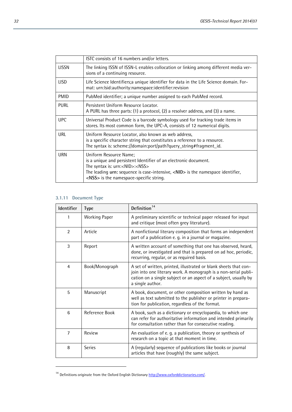|             | ISTC consists of 16 numbers and/or letters.                                                                                                                                                                                                                                                                             |
|-------------|-------------------------------------------------------------------------------------------------------------------------------------------------------------------------------------------------------------------------------------------------------------------------------------------------------------------------|
| LISSN       | The linking ISSN of ISSN-L enables collocation or linking among different media ver-<br>sions of a continuing resource.                                                                                                                                                                                                 |
| <b>LISD</b> | Life Science Identifiers;a unique identifier for data in the Life Science domain. For-<br>mat: urn:Isid:authority:namespace:identifier:revision                                                                                                                                                                         |
| <b>PMID</b> | PubMed identifier; a unique number assigned to each PubMed record.                                                                                                                                                                                                                                                      |
| <b>PURL</b> | Persistent Uniform Resource Locator.<br>A PURL has three parts: (1) a protocol, (2) a resolver address, and (3) a name.                                                                                                                                                                                                 |
| <b>UPC</b>  | Universal Product Code is a barcode symbology used for tracking trade items in<br>stores. Its most common form, the UPC-A, consists of 12 numerical digits.                                                                                                                                                             |
| URL         | Uniform Resource Locator, also known as web address,<br>is a specific character string that constitutes a reference to a resource.<br>The syntax is: scheme://domain:port/path?query_string#fragment_id.                                                                                                                |
| URN         | Uniform Resource Name;<br>is a unique and persistent Identifier of an electronic document.<br>The syntax is: urn: <nid>:<nss><br/>The leading <math>urn:</math> sequence is case-intensive, <math>\langle NID \rangle</math> is the namespace identifier,<br/><nss> is the namespace-specific string.</nss></nss></nid> |

# **3.1.11 Document Type**

L

| Identifier     | <b>Type</b>          | Definition <sup>14</sup>                                                                                                                                                                                                    |
|----------------|----------------------|-----------------------------------------------------------------------------------------------------------------------------------------------------------------------------------------------------------------------------|
|                | <b>Working Paper</b> | A preliminary scientific or technical paper released for input<br>and critique (most often grey literature).                                                                                                                |
| $\mathfrak{p}$ | Article              | A nonfictional literary composition that forms an independent<br>part of a publication e. g. in a journal or magazine.                                                                                                      |
| 3              | Report               | A written account of something that one has observed, heard,<br>done, or investigated and that is prepared on ad hoc, periodic,<br>recurring, regular, or as required basis.                                                |
| $\overline{4}$ | Book/Monograph       | A set of written, printed, illustrated or blank sheets that con-<br>join into one literary work. A monograph is a non-serial publi-<br>cation on a single subject or an aspect of a subject, usually by<br>a single author. |
| 5              | Manuscript           | A book, document, or other composition written by hand as<br>well as text submitted to the publisher or printer in prepara-<br>tion for publication, regardless of the format.                                              |
| 6              | Reference Book       | A book, such as a dictionary or encyclopaedia, to which one<br>can refer for authoritative information and intended primarily<br>for consultation rather than for consecutive reading.                                      |
| $\overline{7}$ | Review               | An evaluation of e. g. a publication, theory or synthesis of<br>research on a topic at that moment in time.                                                                                                                 |
| 8              | <b>Series</b>        | A (regularly) sequence of publications like books or journal<br>articles that have (roughly) the same subject.                                                                                                              |

<span id="page-31-0"></span><sup>&</sup>lt;sup>14</sup> Definitions originate from the Oxford English Dictionar[y http://www.oxforddictionaries.com/.](http://www.oxforddictionaries.com/)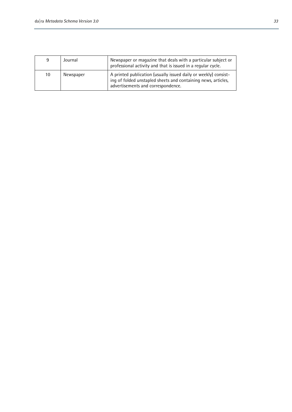| 9  | Journal   | Newspaper or magazine that deals with a particular subject or<br>professional activity and that is issued in a regular cycle.                                          |
|----|-----------|------------------------------------------------------------------------------------------------------------------------------------------------------------------------|
| 10 | Newspaper | A printed publication (usually issued daily or weekly) consist-<br>ing of folded unstapled sheets and containing news, articles,<br>advertisements and correspondence. |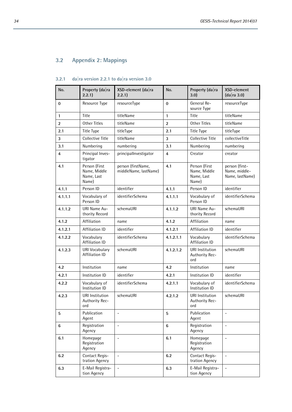# **3.2 Appendix 2: Mappings**

| No.            | Property (da ra<br>2.2.1)                            | XSD-element (da ra<br>2.2.1                 | No.            | Property (da ra<br>3.0                               | XSD-element<br>(da ra 3.0)                         |
|----------------|------------------------------------------------------|---------------------------------------------|----------------|------------------------------------------------------|----------------------------------------------------|
| $\bf{0}$       | Resource Type                                        | resourceType                                | $\bf{0}$       | General Re-<br>source Type                           | resourceType                                       |
| $\mathbf{1}$   | Title                                                | titleName                                   | $\mathbf{1}$   | Title                                                | titleName                                          |
| $\overline{2}$ | <b>Other Titles</b>                                  | titleName                                   | $\overline{2}$ | Other Titles                                         | titleName                                          |
| 2.1            | <b>Title Type</b>                                    | titleType                                   | 2.1            | Title Type                                           | titleType                                          |
| 3              | <b>Collective Title</b>                              | titleName                                   | 3              | Collective Title                                     | collectiveTitle                                    |
| 3.1            | Numbering                                            | numbering                                   | 3.1            | Numbering                                            | numbering                                          |
| 4              | Principal Inves-<br>tigator                          | principallnvestigator                       | 4              | Creator                                              | creator                                            |
| 4.1            | Person (First<br>Name, Middle<br>Name, Last<br>Name) | person (firstName,<br>middleName, lastName) | 4.1            | Person (First<br>Name, Middle<br>Name, Last<br>Name) | person (first-<br>Name, middle-<br>Name, lastName) |
| 4.1.1          | Person ID                                            | identifier                                  | 4.1.1          | Person ID                                            | identifier                                         |
| 4.1.1.1        | Vocabulary of<br>Person ID                           | identifierSchema                            | 4.1.1.1        | Vocabulary of<br>Person ID                           | identifierSchema                                   |
| 4.1.1.2        | URI Name Au-<br>thority Record                       | schemaURI                                   | 4.1.1.2        | URI Name Au-<br>thority Record                       | schemaURI                                          |
| 4.1.2          | Affiliation                                          | name                                        | 4.1.2          | Affiliation                                          | name                                               |
| 4.1.2.1        | Affiliation ID                                       | identifier                                  | 4.1.2.1        | Affiliation ID                                       | identifier                                         |
| 4.1.2.2        | Vocabulary<br><b>Affiliation ID</b>                  | identifierSchema                            | 4.1.2.1.1      | Vocabulary<br><b>Affiliation ID</b>                  | identifierSchema                                   |
| 4.1.2.3        | URI Vocabulary<br>Affiliation ID                     | schemaURI                                   | 4.1.2.1.2      | <b>URI</b> Institution<br>Authority Rec-<br>ord      | schemaURI                                          |
| 4.2            | Institution                                          | name                                        | 4.2            | Institution                                          | name                                               |
| 4.2.1          | Institution ID                                       | identifier                                  | 4.2.1          | Institution ID                                       | identifier                                         |
| 4.2.2          | Vocabulary of<br>Institution ID                      | identifierSchema                            | 4.2.1.1        | Vocabulary of<br>Institution ID                      | identifierSchema                                   |
| 4.2.3          | <b>URI</b> Institution<br>Authority Rec-<br>ord      | schemaURI                                   | 4.2.1.2        | <b>URI</b> Institution<br>Authority Rec-<br>ord      | schemaURI                                          |
| 5              | Publication<br>Agent                                 |                                             | 5              | Publication<br>Agent                                 | $\overline{\phantom{a}}$                           |
| 6              | Registration<br>Agency                               | $\qquad \qquad -$                           | $6\phantom{1}$ | Registration<br>Agency                               | $\overline{\phantom{a}}$                           |
| 6.1            | Homepage<br>Registration<br>Agency                   | $\overline{a}$                              | 6.1            | Homepage<br>Registration<br>Agency                   | $\blacksquare$                                     |
| 6.2            | Contact Regis-<br>tration Agency                     | $\overline{a}$                              | 6.2            | Contact Regis-<br>tration Agency                     | $\overline{\phantom{a}}$                           |
| 6.3            | E-Mail Registra-<br>tion Agency                      | $\overline{\phantom{a}}$                    | 6.3            | E-Mail Registra-<br>tion Agency                      | $\overline{\phantom{a}}$                           |

# **3.2.1 da|ra version 2.2.1 to da|ra version 3.0**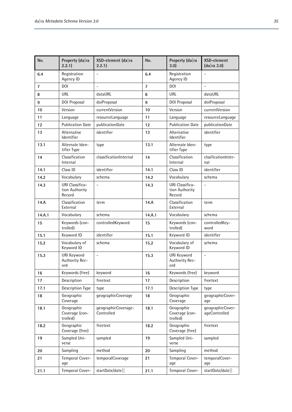| No.            | Property (da ra<br>2.2.1)                   | $XSD$ -element (da ra<br>2.2.1    | No.            | Property (da ra<br>3.0)                            | XSD-element<br>(da ra 3.0)        |
|----------------|---------------------------------------------|-----------------------------------|----------------|----------------------------------------------------|-----------------------------------|
| 6.4            | Registration<br>Agency ID                   |                                   | 6.4            | Registration<br>Agency ID                          |                                   |
| $\overline{7}$ | DOI.                                        | $\overline{\phantom{a}}$          | $\overline{7}$ | DOI                                                | $\overline{a}$                    |
| 8              | URL                                         | dataURL                           | 8              | URL                                                | dataURL                           |
| 9              | DOI Proposal                                | doiProposal                       | 9              | DOI Proposal                                       | doiProposal                       |
| 10             | Version                                     | currentVersion                    | 10             | Version                                            | currentVersion                    |
| 11             | Language                                    | resourceLanguage                  | 11             | Language                                           | resourceLanguage                  |
| 12             | <b>Publication Date</b>                     | publicationDate                   | 12             | <b>Publication Date</b>                            | publicationDate                   |
| 13             | Alternative<br>Identifier                   | identifier                        | 13             | Alternative<br>Identifier                          | identifier                        |
| 13.1           | Alternate Iden-<br>tifier Type              | type                              | 13.1           | Alternate Iden-<br>tifier Type                     | type                              |
| 14             | Classification<br>Internal                  | classificationInternal            | 14             | Classification<br>Internal                         | clssificationInter-<br>nal        |
| 14.1           | Class ID                                    | identifier                        | 14.1           | Class ID                                           | identifier                        |
| 14.2           | Vocabulary                                  | schema                            | 14.2           | Vocabulary                                         | schema                            |
| 14.3           | URI Classifica-<br>tion Authority<br>Record | $\overline{a}$                    | 14.3           | <b>URI Classifica-</b><br>tion Authority<br>Record | $\overline{a}$                    |
| 14.A           | Classification<br>External                  | term                              | 14.A           | Classification<br>External                         | term                              |
| 14.A.1         | Vocabulary                                  | schema                            | 14.A.1         | Vocabulary                                         | schema                            |
| 15             | Keywords (con-<br>trolled)                  | controlledKeyword                 | 15             | Keywords (con-<br>trolled)                         | controlledKey-<br>word            |
| 15.1           | Keyword ID                                  | identifier                        | 15.1           | Keyword ID                                         | identifier                        |
| 15.2           | Vocabulary of<br>Keyword ID                 | schema                            | 15.2           | Vocabulary of<br>Keyword ID                        | schema                            |
| 15.3           | URI Keyword<br>Authority Rec-<br>ord        | $\overline{a}$                    | 15.3           | URI Keyword<br>Authority Rec-<br>ord               | $\overline{a}$                    |
| 16             | Keywords (free)                             | keyword                           | 16             | Keywords (free)                                    | keyword                           |
| 17             | Description                                 | freetext                          | 17             | Description                                        | freetext                          |
| 17.1           | Description Type                            | type                              | 17.1           | Description Type                                   | type                              |
| 18             | Geographic<br>Coverage                      | geographicCoverage                | 18             | Geographic<br>Coverage                             | qeographicCover-<br>age           |
| 18.1           | Geographic<br>Coverage (con-<br>trolled)    | geographicCoverage-<br>Controlled | 18.1           | Geographic<br>Coverage (con-<br>trolled)           | qeographicCover-<br>ageControlled |
| 18.2           | Geographic<br>Coverage (free)               | freetext                          | 18.2           | Geographic<br>Coverage (free)                      | freetext                          |
| 19             | Sampled Uni-<br>verse                       | sampled                           | 19             | Sampled Uni-<br>verse                              | sampled                           |
| 20             | Sampling                                    | method                            | 20             | Sampling                                           | method                            |
| 21             | Temporal Cover-<br>aqe                      | temporalCoverage                  | 21             | Temporal Cover-<br>age                             | temporalCover-<br>age             |
| 21.1           | Temporal Cover-                             | startDate/date                    | 21.1           | Temporal Cover-                                    | startDate/date                    |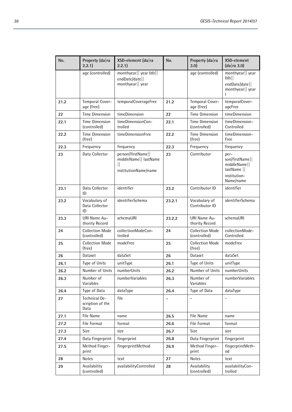| No.  | Property (da ra<br>2.2.1)                 | XSD-element (da ra<br>2.2.1)                                        | No.                          | Property (da ra<br>3.0                 | XSD-element<br>(da ra 3.0)                                                          |
|------|-------------------------------------------|---------------------------------------------------------------------|------------------------------|----------------------------------------|-------------------------------------------------------------------------------------|
|      | age (controlled)                          | monthyear   year & &   <br>endDate/date  <br>monthyear   year       |                              | age (controlled)                       | monthyear   year<br>H <sup>3</sup><br>endDate/date  <br>monthyear   year            |
| 21.2 | Temporal Cover-<br>age (free)             | temporalCoverageFree                                                | 21.2                         | Temporal Cover-<br>age (free)          | temporalCover-<br>ageFree                                                           |
| 22   | Time Dimension                            | timeDimension                                                       | 22                           | <b>Time Dimension</b>                  | timeDimension                                                                       |
| 22.1 | Time Dimension<br>(controlled)            | timeDimensionCon-<br>trolled                                        | 22.1                         | Time Dimension<br>(controlled)         | timeDimension-<br>Controlled                                                        |
| 22.2 | <b>Time Dimension</b><br>(free)           | timeDimensionFree                                                   | 22.2                         | <b>Time Dimension</b><br>(free)        | timeDimension-<br>Free                                                              |
| 22.3 | Frequency                                 | frequency                                                           | 22.3                         | Frequency                              | frequency                                                                           |
| 23   | Data Collector                            | person/firstName  <br>middleName   lastName<br>institutionName/name | 23                           | Contributor                            | per-<br>son/firstName  <br>middleName  <br>lastName   <br>institution-<br>Name/name |
| 23.1 | Data Collector<br>ID                      | identifier                                                          | 23.2                         | Contributor ID                         | identifier                                                                          |
| 23.2 | Vocabulary of<br>Data Collector<br>ID     | identifierSchema                                                    | 23.2.1                       | Vocabulary of<br>Contributor ID        | identifierSchema                                                                    |
| 23.3 | URI Name Au-<br>thority Record            | schemaURI                                                           | 23.2.2                       | URI Name Au-<br>thority Record         | schemaURI                                                                           |
| 24   | <b>Collection Mode</b><br>(controlled)    | collectionModeCon-<br>trolled                                       | 24                           | <b>Collection Mode</b><br>(controlled) | collectionMode-<br>Controlled                                                       |
| 25   | <b>Collection Mode</b><br>(free)          | modeFree                                                            | 25                           | <b>Collection Mode</b><br>(free)       | modeFree                                                                            |
| 26   | Dataset                                   | dataSet                                                             | 26                           | Dataset                                | dataSet                                                                             |
| 26.1 | Type of Units                             | unitType                                                            | 26.1                         | Type of Units                          | unitType                                                                            |
| 26.2 | Number of Units                           | numberUnits                                                         | 26.2                         | Number of Units                        | numberUnits                                                                         |
| 26.3 | Number of<br>Variables                    | numberVariables                                                     | 26.3                         | Number of<br>Variables                 | numberVariables                                                                     |
| 26.4 | Type of Data                              | dataType                                                            | 26.4                         | Type of Data                           | dataType                                                                            |
| 27   | Technical De-<br>scription of the<br>Data | file                                                                | $\qquad \qquad \blacksquare$ | $\overline{\phantom{a}}$               | $\overline{\phantom{0}}$                                                            |
| 27.1 | File Name                                 | name                                                                | 26.5                         | File Name                              | name                                                                                |
| 27.2 | File Format                               | format                                                              | 26.6                         | File Format                            | format                                                                              |
| 27.3 | Size                                      | size                                                                | 26.7                         | Size                                   | size                                                                                |
| 27.4 | Data Fingerprint                          | fingerprint                                                         | 26.8                         | Data Fingerprint                       | fingerprint                                                                         |
| 27.5 | Method Finger-<br>print                   | fingerprintMethod                                                   | 26.9                         | Method Finger-<br>print                | fingerprintMeth-<br>od                                                              |
| 28   | Notes                                     | text                                                                | 27                           | <b>Notes</b>                           | text                                                                                |
| 29   | Availability<br>(controlled)              | availabilityControlled                                              | 28                           | Availability<br>(controlled)           | availabilityCon-<br>trolled                                                         |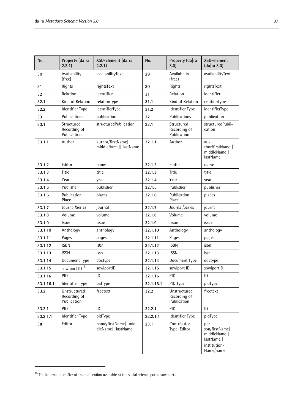| No.       | Property (da ra<br>2.2.1)                   | $XSD$ -element (da ra<br>2.2.1)             | No.       | Property (da ra<br>3.0)                     | XSD-element<br>(da ra 3.0)                                                          |
|-----------|---------------------------------------------|---------------------------------------------|-----------|---------------------------------------------|-------------------------------------------------------------------------------------|
| 30        | Availability<br>(free)                      | availabilityText                            | 29        | Availability<br>(free)                      | availabilityText                                                                    |
| 31        | Rights                                      | rightsText                                  | 30        | Rights                                      | rightsText                                                                          |
| 32        | Relation                                    | identifier                                  | 31        | Relation                                    | identifier                                                                          |
| 32.1      | Kind of Relation                            | relationType                                | 31.1      | Kind of Relation                            | relationType                                                                        |
| 32.2      | Identifier Type                             | identifierType                              | 31.2      | Identifier Type                             | identifierType                                                                      |
| 33        | Publications                                | publication                                 | 32        | Publications                                | publication                                                                         |
| 33.1      | Structured<br>Recording of<br>Publication   | structuredPublication                       | 32.1      | Structured<br>Recording of<br>Publication   | structuredPubli-<br>cation                                                          |
| 33.1.1    | Author                                      | author/firstName  <br>middleName   lastName | 32.1.1    | Author                                      | $au -$<br>thor/firstName  <br>middleName  <br>lastName                              |
| 33.1.2    | Editor                                      | name                                        | 32.1.2    | Editor                                      | name                                                                                |
| 33.1.3    | Title                                       | title                                       | 32.1.3    | Title                                       | title                                                                               |
| 33.1.4    | Year                                        | year                                        | 32.1.4    | Year                                        | year                                                                                |
| 33.1.5    | Publisher                                   | publisher                                   | 32.1.5    | Publisher                                   | publisher                                                                           |
| 33.1.6    | Publication<br>Place                        | places                                      | 32.1.6    | Publication<br>Place                        | places                                                                              |
| 33.1.7    | Journal/Series                              | journal                                     | 32.1.7    | Journal/Series                              | journal                                                                             |
| 33.1.8    | Volume                                      | volume                                      | 32.1.8    | Volume                                      | volume                                                                              |
| 33.1.9    | Issue                                       | issue                                       | 32.1.9    | Issue                                       | issue                                                                               |
| 33.1.10   | Anthology                                   | anthology                                   | 32.1.10   | Anthology                                   | anthology                                                                           |
| 33.1.11   | Pages                                       | pages                                       | 32.1.11   | Pages                                       | pages                                                                               |
| 33.1.12   | <b>ISBN</b>                                 | isbn                                        | 32.1.12   | <b>ISBN</b>                                 | isbn                                                                                |
| 33.1.13   | <b>ISSN</b>                                 | issn                                        | 32.1.13   | <b>ISSN</b>                                 | issn                                                                                |
| 33.1.14   | Document Type                               | doctype                                     | 32.1.14   | Document Type                               | doctype                                                                             |
| 33.1.15   | sowiport ID <sup>15</sup>                   | sowiportID                                  | 32.1.15   | sowiport ID                                 | sowiportID                                                                          |
| 33.1.16   | PID                                         | ID                                          | 32.1.16   | PID                                         | ID                                                                                  |
| 33.1.16.1 | Identifier Type                             | pidType                                     | 32.1.16.1 | PID Type                                    | pidType                                                                             |
| 33.2      | Unstructured<br>Recording of<br>Publication | freetext                                    | 32.2      | Unstructured<br>Recording of<br>Publication | freetext                                                                            |
| 33.2.1    | PID                                         | ID                                          | 32.2.1    | PID                                         | ID                                                                                  |
| 33.2.1.1  | Identifier Type                             | pidType                                     | 32.2.1.1  | Identifier Type                             | pidType                                                                             |
| 38        | Editor                                      | name/firstName   mid-<br>dleName   lastName | 23.1      | Contributor<br>Type: Editor                 | per-<br>son/firstName  <br>middleName  <br>lastName   <br>institution-<br>Name/name |

<span id="page-36-0"></span> $15$  The internal Identifier of the publication available at the social science portal sowiport.

 $\overline{a}$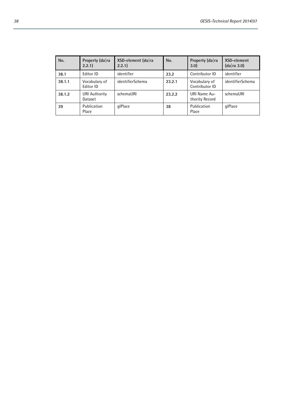| No.    | Property (da ra<br>2.2.1        | XSD-element (da ra<br>2.2.1 | No.    | Property (da ra<br>3.0          | XSD-element<br>(da ra 3.0) |
|--------|---------------------------------|-----------------------------|--------|---------------------------------|----------------------------|
| 38.1   | Editor ID                       | identifier                  | 23.2   | Contributor ID                  | identifier                 |
| 38.1.1 | Vocabulary of<br>Editor ID      | identifierSchema            | 23.2.1 | Vocabulary of<br>Contributor ID | identifierSchema           |
| 38.1.2 | <b>URI Authority</b><br>Dataset | schemaURI                   | 23.2.2 | URI Name Au-<br>thority Record  | schemaURI                  |
| 39     | Publication<br>Place            | glPlace                     | 38     | Publication<br>Place            | glPlace                    |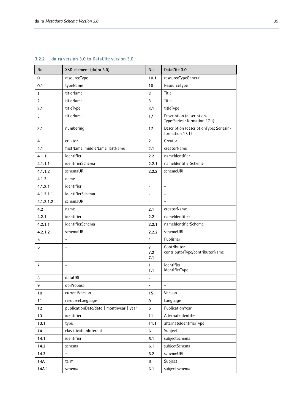| No.            | XSD-element (da ra 3.0)                 | No.                          | DataCite 3.0                                               |  |
|----------------|-----------------------------------------|------------------------------|------------------------------------------------------------|--|
| $\bf{0}$       | resourceType                            | 10.1                         | resourceTypeGeneral                                        |  |
| 0.1            | typeName                                | 10                           | ResourceType                                               |  |
| $\mathbf{1}$   | titleName                               | 3                            | Title                                                      |  |
| $\overline{2}$ | titleName                               | 3                            | Title                                                      |  |
| 2.1            | titleType                               | 3.1                          | titleType                                                  |  |
| 3              | titleName                               | 17                           | Description (description-<br>Type:Seriesinformation 17.1)  |  |
| 3.1            | numbering                               | 17                           | Description (descriptionType: Seriesin-<br>formation 17.1) |  |
| $\overline{4}$ | creator                                 | $\overline{2}$               | Creator                                                    |  |
| 4.1            | firstName, middleName, lastName         | 2.1                          | creatorName                                                |  |
| 4.1.1          | identifier                              | 2.2                          | nameldentifier                                             |  |
| 4.1.1.1        | identifierSchema                        | 2.2.1                        | nameldentifierScheme                                       |  |
| 4.1.1.2        | schemaURI                               | 2.2.2                        | schemeURI                                                  |  |
| 4.1.2          | name                                    | $\overline{a}$               | $\overline{a}$                                             |  |
| 4.1.2.1        | identifier                              | -                            | $\blacksquare$                                             |  |
| 4.1.2.1.1      | identifierSchema                        | -                            | $\overline{\phantom{a}}$                                   |  |
| 4.1.2.1.2      | schemaURI                               | $\overline{a}$               | $\bar{\phantom{a}}$                                        |  |
| 4.2            | name                                    | 2.1                          | creatorName                                                |  |
| 4.2.1          | identifier                              | 2.2                          | nameldentifier                                             |  |
| 4.2.1.1        | identifierSchema                        | 2.2.1                        | nameldentifierScheme                                       |  |
| 4.2.1.2        | schemaURI                               | 2.2.2                        | schemeURI                                                  |  |
| 5              | $\overline{\phantom{a}}$                | 4                            | Publisher                                                  |  |
| $6\phantom{a}$ | $\overline{a}$                          | $\overline{7}$<br>7.2<br>7.1 | Contributor<br>contributorType/contributorName             |  |
| $\overline{7}$ | $\overline{a}$                          | 1<br>1.1                     | Identifier<br>identifierType                               |  |
| 8              | dataURL                                 | $\overline{a}$               | $\overline{a}$                                             |  |
| 9              | doiProposal                             | $\qquad \qquad -$            | $\qquad \qquad \blacksquare$                               |  |
| 10             | currentVersion                          | 15                           | Version                                                    |  |
| 11             | resourceLanguage                        | 9                            | Language                                                   |  |
| 12             | publicationDate/date   monthyear   year | 5                            | PublicationYear                                            |  |
| 13             | identifier                              | 11                           | Alternateldentifier                                        |  |
| 13.1           | type                                    | 11.1                         | alternateldentifierType                                    |  |
| 14             | classificationInternal                  | $6\phantom{a}$               | Subject                                                    |  |
| 14.1           | identifier                              | 6.1                          | subjectSchema                                              |  |
| 14.2           | schema                                  | 6.1                          | subjectSchema                                              |  |
| 14.3           | $\overline{\phantom{a}}$                | 6.2                          | schemeURI                                                  |  |
| 14A            | term                                    | $6\phantom{a}$               | Subject                                                    |  |
| 14A.1          | schema                                  | 6.1                          | subjectSchema                                              |  |

#### **3.2.2 da|ra version 3.0 to DataCite version 3.0**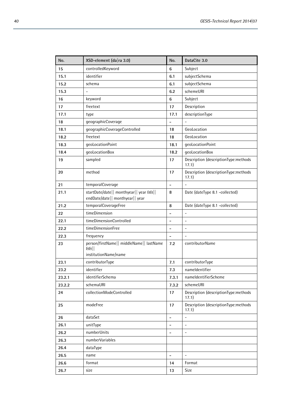| No.    | XSD-element (da ra 3.0)                                                     | No.                      | DataCite 3.0                                  |
|--------|-----------------------------------------------------------------------------|--------------------------|-----------------------------------------------|
| 15     | controlledKeyword                                                           | 6                        | Subject                                       |
| 15.1   | identifier                                                                  |                          | subjectSchema                                 |
| 15.2   | schema                                                                      |                          | subjectSchema                                 |
| 15.3   |                                                                             | 6.2                      | schemeURI                                     |
| 16     | keyword                                                                     | 6                        | Subject                                       |
| 17     | freetext                                                                    | 17                       | Description                                   |
| 17.1   | type                                                                        | 17.1                     | descriptionType                               |
| 18     | geographicCoverage                                                          | $\overline{\phantom{0}}$ |                                               |
| 18.1   | geographicCoverageControlled                                                | 18                       | GeoLocation                                   |
| 18.2   | freetext                                                                    | 18                       | GeoLocation                                   |
| 18.3   | geoLocationPoint                                                            | 18.1                     | geoLocationPoint                              |
| 18.4   | geoLocationBox                                                              | 18.2                     | geoLocationBox                                |
| 19     | sampled                                                                     | 17                       | Description (descriptionType:methods<br>17.1) |
| 20     | method                                                                      | 17                       | Description (descriptionType:methods<br>17.1) |
| 21     | temporalCoverage                                                            | $\overline{a}$           |                                               |
| 21.1   | startDate/date   monthyear   year & &   <br>endDate/date   monthyear   year | 8                        | Date (dateType 8.1 -collected)                |
| 21.2   | temporalCoverageFree                                                        | 8                        | Date (dateType 8.1 -collected)                |
| 22     | timeDimension                                                               | $\qquad \qquad -$        | $\frac{1}{2}$                                 |
| 22.1   | timeDimensionControlled                                                     | $\overline{\phantom{0}}$ | $\overline{a}$                                |
| 22.2   | timeDimensionFree                                                           | $\overline{\phantom{0}}$ | ÷,                                            |
| 22.3   | frequency                                                                   | $\overline{\phantom{0}}$ | ÷.                                            |
| 23     | person/firstName   middleName   lastName<br>H<br>institutionName/name       | 7.2                      | contributorName                               |
| 23.1   | contributorType                                                             | 7.1                      | contributorType                               |
| 23.2   | identifier                                                                  | 7.3                      | nameldentifier                                |
| 23.2.1 | identifierSchema                                                            | 7.3.1                    | nameldentifierScheme                          |
| 23.2.2 | schemaURI                                                                   | 7.3.2                    | schemeURI                                     |
| 24     | collectionModeControlled                                                    | 17                       | Description (descriptionType:methods<br>17.1) |
| 25     | modeFree                                                                    | 17                       | Description (descriptionType:methods<br>17.1) |
| 26     | dataSet                                                                     | $\overline{\phantom{0}}$ | $\overline{\phantom{0}}$                      |
| 26.1   | unitType                                                                    | $\overline{a}$           | -                                             |
| 26.2   | numberUnits                                                                 | $\overline{\phantom{0}}$ | ÷,                                            |
| 26.3   | numberVariables                                                             |                          |                                               |
| 26.4   | dataType                                                                    |                          |                                               |
| 26.5   | name                                                                        | $\overline{\phantom{a}}$ |                                               |
| 26.6   | format                                                                      | 14                       | Format                                        |
| 26.7   | size                                                                        | 13                       | Size                                          |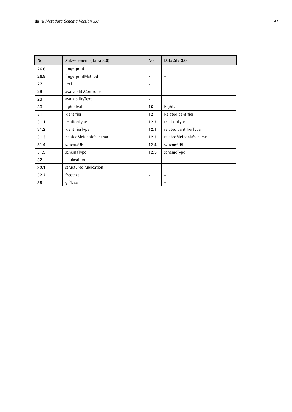| No.  | XSD-element (da ra 3.0) | No.                      | DataCite 3.0             |
|------|-------------------------|--------------------------|--------------------------|
| 26.8 | fingerprint             |                          | $\overline{\phantom{a}}$ |
| 26.9 | fingerprintMethod       |                          | $\overline{\phantom{a}}$ |
| 27   | text                    | $\overline{\phantom{0}}$ | $\overline{\phantom{a}}$ |
| 28   | availabilityControlled  |                          |                          |
| 29   | availabilityText        |                          | $\overline{\phantom{a}}$ |
| 30   | rightsText              | 16                       | Rights                   |
| 31   | identifier              | 12                       | RelatedIdentifier        |
| 31.1 | relationType            | 12.2                     | relationType             |
| 31.2 | identifierType          | 12.1                     | relatedIdentifierType    |
| 31.3 | relatedMetadataSchema   | 12.3                     | relatedMetadataScheme    |
| 31.4 | schemaURI               | 12.4                     | schemeURI                |
| 31.5 | schemaType              | 12.5                     | schemeType               |
| 32   | publication             |                          | $\overline{\phantom{a}}$ |
| 32.1 | structuredPublication   |                          |                          |
| 32.2 | freetext                | $\overline{\phantom{0}}$ | $\overline{\phantom{a}}$ |
| 38   | glPlace                 |                          | $\overline{\phantom{a}}$ |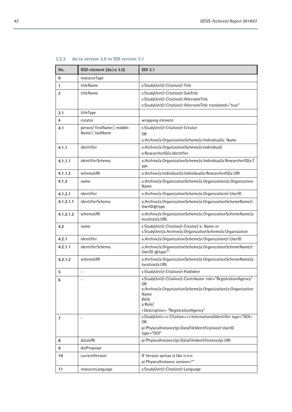| No.            | XSD-element (da ra 3.0)                        | <b>DDI 3.1</b>                                                                                                                                                                                                                            |  |
|----------------|------------------------------------------------|-------------------------------------------------------------------------------------------------------------------------------------------------------------------------------------------------------------------------------------------|--|
| $\bf{0}$       | resourceType                                   |                                                                                                                                                                                                                                           |  |
| 1              | titleName                                      | s:StudyUnit/r:Citation/r:Title                                                                                                                                                                                                            |  |
| $\overline{2}$ | titleName                                      | s:StudyUnit/r:Citation/r:SubTitle<br>s:StudyUnit/r:Citation/r:AlternateTitle<br>s:StudyUnit/r:Citation/r:AlternateTitle translated="true"                                                                                                 |  |
| 2.1            | titleType                                      |                                                                                                                                                                                                                                           |  |
| 4              | creator                                        | wrapping element                                                                                                                                                                                                                          |  |
| 4.1            | person/ firstName   middle-<br>Name   lastName | s:StudyUnit/r:Citation/r:Creator<br>0 <sub>R</sub><br>a:Archive/a:OrganizationScheme/a:Individual/a: Name                                                                                                                                 |  |
| 4.1.1          | identifier                                     | a:Archive/a:OrganizationScheme/a:Individual/<br>a:ResearcherID/a:Identifier                                                                                                                                                               |  |
| 4.1.1.1        | identifierSchema                               | a:Archive/a:OrganizationScheme/a:Individual/a:ResearcherID/a:T<br>ype                                                                                                                                                                     |  |
| 4.1.1.2        | schemaURI                                      | a:Archive/a:Individual/a:Individual/a:ResearcherID/a:URI                                                                                                                                                                                  |  |
| 4.1.2          | name                                           | a:Archive/a:OrganizationScheme/a:Organization/a:Organization<br>Name                                                                                                                                                                      |  |
| 4.1.2.1        | identifier                                     | a:Archive/a:OrganizationScheme/a:Organization/r:UserID                                                                                                                                                                                    |  |
| 4.1.2.1.1      | identifierSchema                               | a:Archive/a:OrganizationScheme/a:OrganizationSchemeName/r:<br>UserID@type                                                                                                                                                                 |  |
| 4.1.2.1.2      | schemaURI                                      | a:Archive/a:OrganizationScheme/a:OrganizationSchemeName/a:<br>location/a:URL                                                                                                                                                              |  |
| 4.2            | name                                           | s:StudyUnit/r:Citation/r:Creator/ a: Name or<br>s:StudyUnit/a:Archive/a:OrganizationScheme/a:Organization                                                                                                                                 |  |
| 4.2.1          | identifier                                     | a:Archive/a:OrganizationScheme/a:Organization/r:UserID                                                                                                                                                                                    |  |
| 4.2.1.1        | identifierSchema                               | a:Archive/a:OrganizationScheme/a:OrganizationSchemeName/r:<br>UserID @type""                                                                                                                                                              |  |
| 4.2.1.2        | schemaURI                                      | a:Archive/a:OrganizationScheme/a:OrganizationSchemeName/a:<br>location/a:URL                                                                                                                                                              |  |
| 5              | $\overline{a}$                                 | s:StudyUnit/r:Citation/r:Publisher                                                                                                                                                                                                        |  |
| 6              |                                                | s:StudyUnit/r:Citation/r:Contributor role="RegistrationAgency"<br>0R<br>a:Archive/a:OrganizationScheme/a:Organization/a:Organization<br>Name<br>With<br>a:Role/<br>r:Description= "RegistrationAgency"                                    |  |
| 7              |                                                | s:StudyUnit> <r:citation><r:internationalidentifier doi"<="" td="" type="D0l&gt;&lt;br&gt;&lt;b&gt;OR&lt;/b&gt;&lt;br&gt;pi:PhysicalInstance/pi:DataFileIdentification/r:UserID&lt;br&gt;type="></r:internationalidentifier></r:citation> |  |
| 8              | dataURL                                        | pi:PhysicalInstance/pi:DataFileIdentification/pi:URI                                                                                                                                                                                      |  |
| 9              | doiProposal                                    |                                                                                                                                                                                                                                           |  |
| 10             | currentVersion                                 | IF Version syntax is like n.n.n:<br>pi:PhysicalInstance version=""                                                                                                                                                                        |  |
| 11             | resourceLanguage                               | s:StudyUnit/r:Citation/r:Language                                                                                                                                                                                                         |  |

| 3.2.3 |  |  | dalra version 3.0 to DDI version 3.1 |
|-------|--|--|--------------------------------------|
|-------|--|--|--------------------------------------|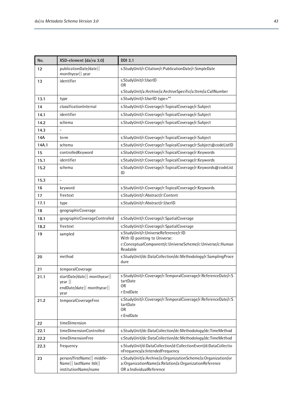| No.   | XSD-element (da ra 3.0)                                                       | <b>DDI 3.1</b>                                                                                                                                    |  |  |
|-------|-------------------------------------------------------------------------------|---------------------------------------------------------------------------------------------------------------------------------------------------|--|--|
| 12    | publicationDate/date<br>monthyear   year                                      | s:StudyUnit/r:Citation/r:PublicationDate/r:SimpleDate                                                                                             |  |  |
| 13    | identifier                                                                    | s:StudyUnit/r:UserID<br>0R                                                                                                                        |  |  |
|       |                                                                               | s:StudyUnit/a:Archive/a:ArchiveSpecific/a:Item/a:CallNumber                                                                                       |  |  |
| 13.1  | type                                                                          | s:StudyUnit/r:UserID type=""                                                                                                                      |  |  |
| 14    | classificationInternal                                                        | s:StudyUnit/r:Coverage/r:TopicalCoverage/r:Subject                                                                                                |  |  |
| 14.1  | identifier                                                                    | s:StudyUnit/r:Coverage/r:TopicalCoverage/r:Subject                                                                                                |  |  |
| 14.2  | schema                                                                        | s:StudyUnit/r:Coverage/r:TopicalCoverage/r:Subject                                                                                                |  |  |
| 14.3  |                                                                               |                                                                                                                                                   |  |  |
| 14A   | term                                                                          | s:StudyUnit/r:Coverage/r:TopicalCoverage/r:Subject                                                                                                |  |  |
| 14A.1 | schema                                                                        | s:StudyUnit/r:Coverage/r:TopicalCoverage/r:Subject@codeListID                                                                                     |  |  |
| 15    | controlledKeyword                                                             | s:StudyUnit/r:Coverage/r:TopicalCoverage/r:Keywords                                                                                               |  |  |
| 15.1  | identifier                                                                    | s:StudyUnit/r:Coverage/r:TopicalCoverage/r:Keywords                                                                                               |  |  |
| 15.2  | schema                                                                        | s:StudyUnit/r:Coverage/r:TopicalCoverage/r:Keywords@codeList<br>ID                                                                                |  |  |
| 15.3  |                                                                               |                                                                                                                                                   |  |  |
| 16    | keyword                                                                       | s:StudyUnit/r:Coverage/r:TopicalCoverage/r:Keywords                                                                                               |  |  |
| 17    | freetext                                                                      | s:StudyUnit/r:Abstract/r:Content                                                                                                                  |  |  |
| 17.1  | type                                                                          | s:StudyUnit/r:Abstract/r:UserID                                                                                                                   |  |  |
| 18    | geographicCoverage                                                            |                                                                                                                                                   |  |  |
| 18.1  | geographicCoverageControlled                                                  | s:StudyUnit/r:Coverage/r:SpatialCoverage                                                                                                          |  |  |
| 18.2  | freetext                                                                      | s:StudyUnit/r:Coverage/r:SpatialCoverage                                                                                                          |  |  |
| 19    | sampled                                                                       | s:StudyUnit/r:UniverseReference/r:ID<br>With ID pointing to Universe:                                                                             |  |  |
|       |                                                                               | c:ConceptualComponent/c:UniverseScheme/c:Universe/c:Human<br>Readable                                                                             |  |  |
| 20    | method                                                                        | s:StudyUnit/dc:DataCollection/dc:Methodology/r:SamplingProce<br>dure                                                                              |  |  |
| 21    | temporalCoverage                                                              |                                                                                                                                                   |  |  |
| 21.1  | startDate/date   monthyear  <br>year   <br>endDate/date   monthyear  <br>year | s:StudyUnit/r:Coverage/r:TemporalCoverage/r:ReferenceDate/r:S<br>tartDate<br>0R<br>r:EndDate                                                      |  |  |
| 21.2  | temporalCoverageFree                                                          | s:StudyUnit/r:Coverage/r:TemporalCoverage/r:ReferenceDate/r:S<br>tartDate<br>0 <sub>R</sub><br>r:EndDate                                          |  |  |
| 22    | timeDimension                                                                 |                                                                                                                                                   |  |  |
| 22.1  | timeDimensionControlled                                                       | s:StudyUnit/dc:DataCollection/dc:Methodology/dc:TimeMethod                                                                                        |  |  |
| 22.2  | timeDimensionFree                                                             | s:StudyUnit/dc:DataCollection/dc:Methodology/dc:TimeMethod                                                                                        |  |  |
| 22.3  | frequency                                                                     | s:StudyUnit/d:DataCollection/d:CollectionEvent/d:DataCollectio<br>nFrequency/a:IntendedFrequency                                                  |  |  |
| 23    | person/firstName   middle-<br>Name   lastName & &   <br>institutionName/name  | s:StudyUnit/a:Archive/a:OrganizationScheme/a:Organization/or<br>a:OrganizationName/a:Relation/a:OrganizationReference<br>OR a:IndividualReference |  |  |